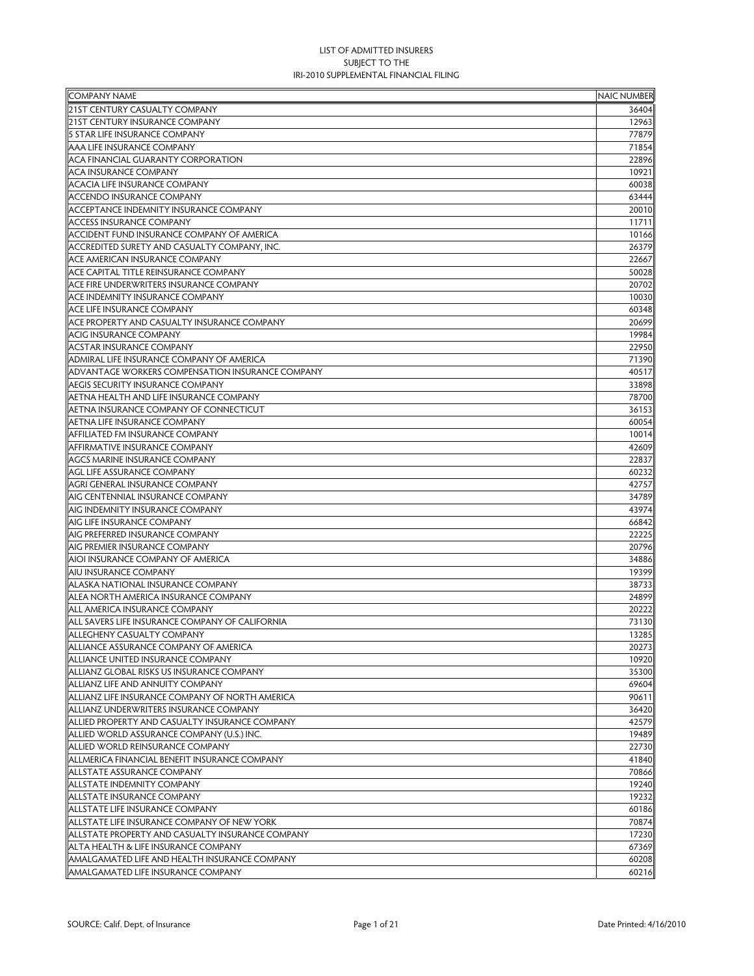| <b>COMPANY NAME</b>                              | <b>NAIC NUMBER</b> |
|--------------------------------------------------|--------------------|
| 21ST CENTURY CASUALTY COMPANY                    | 36404              |
| 21ST CENTURY INSURANCE COMPANY                   | 12963              |
| <b>5 STAR LIFE INSURANCE COMPANY</b>             | 77879              |
| AAA LIFE INSURANCE COMPANY                       | 71854              |
| ACA FINANCIAL GUARANTY CORPORATION               | 22896              |
| <b>ACA INSURANCE COMPANY</b>                     | 10921              |
| <b>ACACIA LIFE INSURANCE COMPANY</b>             | 60038              |
| <b>ACCENDO INSURANCE COMPANY</b>                 | 63444              |
| ACCEPTANCE INDEMNITY INSURANCE COMPANY           | 20010              |
| <b>ACCESS INSURANCE COMPANY</b>                  | 11711              |
| ACCIDENT FUND INSURANCE COMPANY OF AMERICA       | 10166              |
| ACCREDITED SURETY AND CASUALTY COMPANY, INC.     | 26379              |
| ACE AMERICAN INSURANCE COMPANY                   | 22667              |
| ACE CAPITAL TITLE REINSURANCE COMPANY            | 50028              |
| ACE FIRE UNDERWRITERS INSURANCE COMPANY          | 20702              |
| ACE INDEMNITY INSURANCE COMPANY                  | 10030              |
| <b>ACE LIFE INSURANCE COMPANY</b>                | 60348              |
| ACE PROPERTY AND CASUALTY INSURANCE COMPANY      | 20699              |
| <b>ACIG INSURANCE COMPANY</b>                    | 19984              |
| <b>ACSTAR INSURANCE COMPANY</b>                  | 22950              |
| ADMIRAL LIFE INSURANCE COMPANY OF AMERICA        | 71390              |
| ADVANTAGE WORKERS COMPENSATION INSURANCE COMPANY | 40517              |
| AEGIS SECURITY INSURANCE COMPANY                 | 33898              |
| AETNA HEALTH AND LIFE INSURANCE COMPANY          | 78700              |
| AETNA INSURANCE COMPANY OF CONNECTICUT           | 36153              |
| AETNA LIFE INSURANCE COMPANY                     | 60054              |
| AFFILIATED FM INSURANCE COMPANY                  | 10014              |
| AFFIRMATIVE INSURANCE COMPANY                    | 42609              |
| <b>AGCS MARINE INSURANCE COMPANY</b>             | 22837              |
| <b>AGL LIFE ASSURANCE COMPANY</b>                | 60232              |
| <b>AGRI GENERAL INSURANCE COMPANY</b>            | 42757              |
| AIG CENTENNIAL INSURANCE COMPANY                 | 34789              |
| AIG INDEMNITY INSURANCE COMPANY                  | 43974              |
| AIG LIFE INSURANCE COMPANY                       | 66842              |
| AIG PREFERRED INSURANCE COMPANY                  | 22225              |
| AIG PREMIER INSURANCE COMPANY                    | 20796              |
| AIOI INSURANCE COMPANY OF AMERICA                | 34886              |
| <b>AIU INSURANCE COMPANY</b>                     | 19399              |
| ALASKA NATIONAL INSURANCE COMPANY                | 38733              |
| ALEA NORTH AMERICA INSURANCE COMPANY             | 24899              |
| ALL AMERICA INSURANCE COMPANY                    | 20222              |
| ALL SAVERS LIFE INSURANCE COMPANY OF CALIFORNIA  | 73130              |
| ALLEGHENY CASUALTY COMPANY                       | 13285              |
| ALLIANCE ASSURANCE COMPANY OF AMERICA            | 20273              |
| ALLIANCE UNITED INSURANCE COMPANY                | 10920              |
| ALLIANZ GLOBAL RISKS US INSURANCE COMPANY        | 35300              |
| ALLIANZ LIFE AND ANNUITY COMPANY                 | 69604              |
| ALLIANZ LIFE INSURANCE COMPANY OF NORTH AMERICA  | 90611              |
| ALLIANZ UNDERWRITERS INSURANCE COMPANY           | 36420              |
| ALLIED PROPERTY AND CASUALTY INSURANCE COMPANY   | 42579              |
| ALLIED WORLD ASSURANCE COMPANY (U.S.) INC.       | 19489              |
| ALLIED WORLD REINSURANCE COMPANY                 | 22730              |
| ALLMERICA FINANCIAL BENEFIT INSURANCE COMPANY    | 41840              |
| <b>ALLSTATE ASSURANCE COMPANY</b>                | 70866              |
| ALLSTATE INDEMNITY COMPANY                       | 19240              |
| <b>ALLSTATE INSURANCE COMPANY</b>                | 19232              |
| ALLSTATE LIFE INSURANCE COMPANY                  | 60186              |
| ALLSTATE LIFE INSURANCE COMPANY OF NEW YORK      | 70874              |
| ALLSTATE PROPERTY AND CASUALTY INSURANCE COMPANY | 17230              |
| ALTA HEALTH & LIFE INSURANCE COMPANY             | 67369              |
| AMALGAMATED LIFE AND HEALTH INSURANCE COMPANY    | 60208              |
| AMALGAMATED LIFE INSURANCE COMPANY               | 60216              |
|                                                  |                    |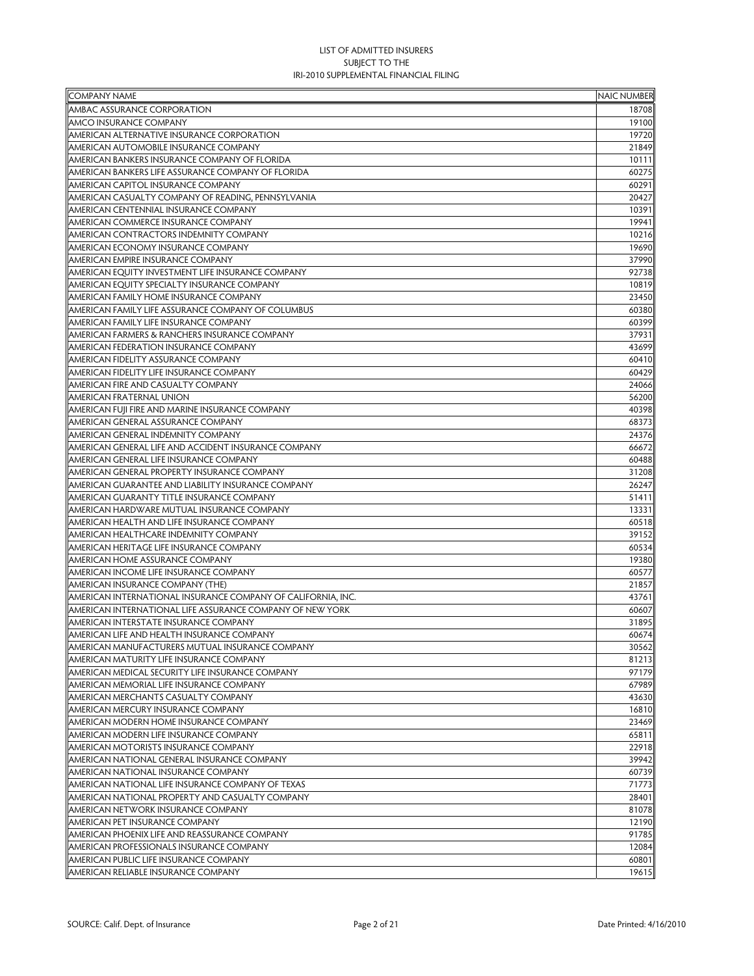| <b>COMPANY NAME</b>                                                       | <b>NAIC NUMBER</b> |
|---------------------------------------------------------------------------|--------------------|
| AMBAC ASSURANCE CORPORATION                                               | 18708              |
| <b>AMCO INSURANCE COMPANY</b>                                             | 19100              |
| AMERICAN ALTERNATIVE INSURANCE CORPORATION                                | 19720              |
| AMERICAN AUTOMOBILE INSURANCE COMPANY                                     | 21849              |
| AMERICAN BANKERS INSURANCE COMPANY OF FLORIDA                             | 10111              |
| AMERICAN BANKERS LIFE ASSURANCE COMPANY OF FLORIDA                        | 60275              |
| AMERICAN CAPITOL INSURANCE COMPANY                                        | 60291              |
| AMERICAN CASUALTY COMPANY OF READING, PENNSYLVANIA                        | 20427              |
| AMERICAN CENTENNIAL INSURANCE COMPANY                                     | 10391              |
| AMERICAN COMMERCE INSURANCE COMPANY                                       | 19941              |
| AMERICAN CONTRACTORS INDEMNITY COMPANY                                    | 10216              |
| AMERICAN ECONOMY INSURANCE COMPANY                                        | 19690              |
| AMERICAN EMPIRE INSURANCE COMPANY                                         | 37990              |
| AMERICAN EQUITY INVESTMENT LIFE INSURANCE COMPANY                         | 92738              |
| AMERICAN EQUITY SPECIALTY INSURANCE COMPANY                               | 10819              |
| AMERICAN FAMILY HOME INSURANCE COMPANY                                    | 23450              |
| AMERICAN FAMILY LIFE ASSURANCE COMPANY OF COLUMBUS                        | 60380              |
| AMERICAN FAMILY LIFE INSURANCE COMPANY                                    | 60399              |
| AMERICAN FARMERS & RANCHERS INSURANCE COMPANY                             | 37931              |
| AMERICAN FEDERATION INSURANCE COMPANY                                     | 43699              |
| AMERICAN FIDELITY ASSURANCE COMPANY                                       | 60410              |
| AMERICAN FIDELITY LIFE INSURANCE COMPANY                                  | 60429              |
| AMERICAN FIRE AND CASUALTY COMPANY                                        | 24066              |
| AMERICAN FRATERNAL UNION                                                  | 56200              |
| AMERICAN FUJI FIRE AND MARINE INSURANCE COMPANY                           | 40398              |
| AMERICAN GENERAL ASSURANCE COMPANY                                        | 68373              |
| AMERICAN GENERAL INDEMNITY COMPANY                                        | 24376              |
| AMERICAN GENERAL LIFE AND ACCIDENT INSURANCE COMPANY                      | 66672              |
| AMERICAN GENERAL LIFE INSURANCE COMPANY                                   |                    |
| AMERICAN GENERAL PROPERTY INSURANCE COMPANY                               | 60488<br>31208     |
| AMERICAN GUARANTEE AND LIABILITY INSURANCE COMPANY                        | 26247              |
| AMERICAN GUARANTY TITLE INSURANCE COMPANY                                 | 51411              |
| AMERICAN HARDWARE MUTUAL INSURANCE COMPANY                                | 13331              |
| AMERICAN HEALTH AND LIFE INSURANCE COMPANY                                | 60518              |
| AMERICAN HEALTHCARE INDEMNITY COMPANY                                     | 39152              |
|                                                                           |                    |
| AMERICAN HERITAGE LIFE INSURANCE COMPANY                                  | 60534              |
| AMERICAN HOME ASSURANCE COMPANY<br>AMERICAN INCOME LIFE INSURANCE COMPANY | 19380              |
|                                                                           | 60577              |
| AMERICAN INSURANCE COMPANY (THE)                                          | 21857              |
| AMERICAN INTERNATIONAL INSURANCE COMPANY OF CALIFORNIA, INC.              | 43761              |
| AMERICAN INTERNATIONAL LIFE ASSURANCE COMPANY OF NEW YORK                 | 60607              |
| AMERICAN INTERSTATE INSURANCE COMPANY                                     | 31895              |
| AMERICAN LIFE AND HEALTH INSURANCE COMPANY                                | 60674              |
| AMERICAN MANUFACTURERS MUTUAL INSURANCE COMPANY                           | 30562              |
| AMERICAN MATURITY LIFE INSURANCE COMPANY                                  | 81213              |
| AMERICAN MEDICAL SECURITY LIFE INSURANCE COMPANY                          | 97179              |
| AMERICAN MEMORIAL LIFE INSURANCE COMPANY                                  | 67989              |
| AMERICAN MERCHANTS CASUALTY COMPANY                                       | 43630              |
| AMERICAN MERCURY INSURANCE COMPANY                                        | 16810              |
| AMERICAN MODERN HOME INSURANCE COMPANY                                    | 23469              |
| AMERICAN MODERN LIFE INSURANCE COMPANY                                    | 65811              |
| AMERICAN MOTORISTS INSURANCE COMPANY                                      | 22918              |
| AMERICAN NATIONAL GENERAL INSURANCE COMPANY                               | 39942              |
| AMERICAN NATIONAL INSURANCE COMPANY                                       | 60739              |
| AMERICAN NATIONAL LIFE INSURANCE COMPANY OF TEXAS                         | 71773              |
| AMERICAN NATIONAL PROPERTY AND CASUALTY COMPANY                           | 28401              |
| AMERICAN NETWORK INSURANCE COMPANY                                        | 81078              |
| AMERICAN PET INSURANCE COMPANY                                            | 12190              |
| AMERICAN PHOENIX LIFE AND REASSURANCE COMPANY                             | 91785              |
| AMERICAN PROFESSIONALS INSURANCE COMPANY                                  | 12084              |
| AMERICAN PUBLIC LIFE INSURANCE COMPANY                                    | 60801              |
| AMERICAN RELIABLE INSURANCE COMPANY                                       | 19615              |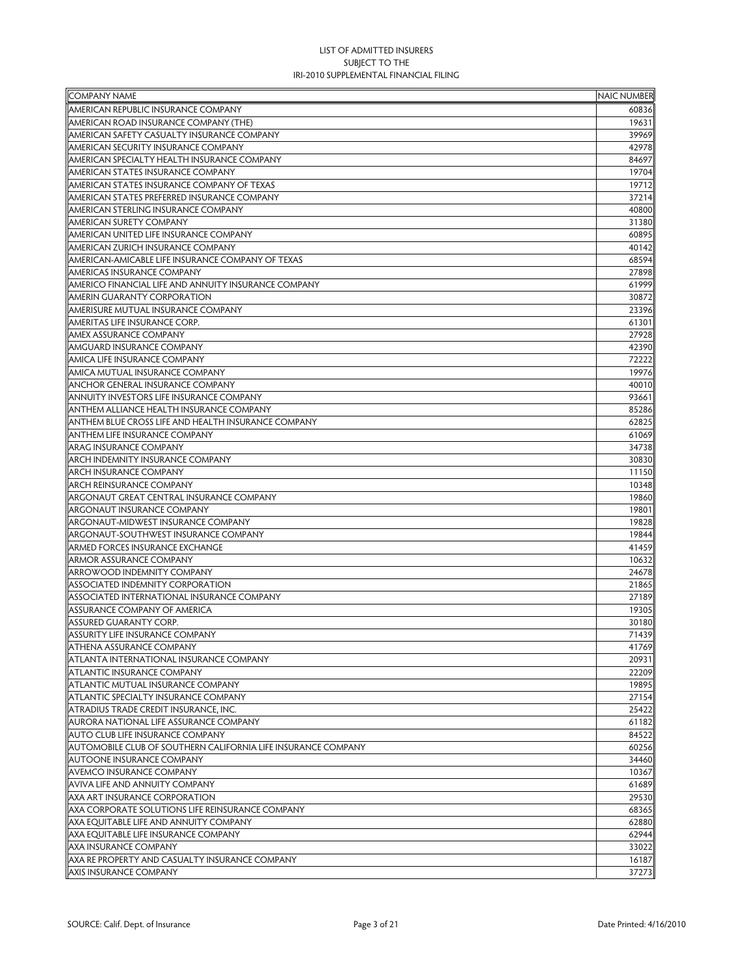| <b>COMPANY NAME</b>                                           | <b>NAIC NUMBER</b> |
|---------------------------------------------------------------|--------------------|
| AMERICAN REPUBLIC INSURANCE COMPANY                           | 60836              |
| AMERICAN ROAD INSURANCE COMPANY (THE)                         | 19631              |
| AMERICAN SAFETY CASUALTY INSURANCE COMPANY                    | 39969              |
| AMERICAN SECURITY INSURANCE COMPANY                           | 42978              |
| AMERICAN SPECIALTY HEALTH INSURANCE COMPANY                   | 84697              |
| AMERICAN STATES INSURANCE COMPANY                             | 19704              |
| AMERICAN STATES INSURANCE COMPANY OF TEXAS                    | 19712              |
| AMERICAN STATES PREFERRED INSURANCE COMPANY                   | 37214              |
| AMERICAN STERLING INSURANCE COMPANY                           | 40800              |
| <b>AMERICAN SURETY COMPANY</b>                                | 31380              |
| AMERICAN UNITED LIFE INSURANCE COMPANY                        | 60895              |
| AMERICAN ZURICH INSURANCE COMPANY                             | 40142              |
| AMERICAN-AMICABLE LIFE INSURANCE COMPANY OF TEXAS             | 68594              |
| AMERICAS INSURANCE COMPANY                                    | 27898              |
| AMERICO FINANCIAL LIFE AND ANNUITY INSURANCE COMPANY          | 61999              |
| AMERIN GUARANTY CORPORATION                                   | 30872              |
| AMERISURE MUTUAL INSURANCE COMPANY                            | 23396              |
| AMERITAS LIFE INSURANCE CORP.                                 | 61301              |
| AMEX ASSURANCE COMPANY                                        | 27928              |
| AMGUARD INSURANCE COMPANY                                     | 42390              |
| AMICA LIFE INSURANCE COMPANY                                  | 72222              |
| AMICA MUTUAL INSURANCE COMPANY                                | 19976              |
| <b>ANCHOR GENERAL INSURANCE COMPANY</b>                       | 40010              |
| ANNUITY INVESTORS LIFE INSURANCE COMPANY                      | 93661              |
| ANTHEM ALLIANCE HEALTH INSURANCE COMPANY                      | 85286              |
| <b>ANTHEM BLUE CROSS LIFE AND HEALTH INSURANCE COMPANY</b>    | 62825              |
| <b>ANTHEM LIFE INSURANCE COMPANY</b>                          | 61069              |
| <b>ARAG INSURANCE COMPANY</b>                                 | 34738              |
| ARCH INDEMNITY INSURANCE COMPANY                              | 30830              |
| <b>ARCH INSURANCE COMPANY</b>                                 | 11150              |
| <b>ARCH REINSURANCE COMPANY</b>                               | 10348              |
| ARGONAUT GREAT CENTRAL INSURANCE COMPANY                      | 19860              |
| <b>ARGONAUT INSURANCE COMPANY</b>                             | 19801              |
| ARGONAUT-MIDWEST INSURANCE COMPANY                            | 19828              |
| ARGONAUT-SOUTHWEST INSURANCE COMPANY                          | 19844              |
| ARMED FORCES INSURANCE EXCHANGE                               | 41459              |
| <b>ARMOR ASSURANCE COMPANY</b>                                | 10632              |
| ARROWOOD INDEMNITY COMPANY                                    | 24678              |
| <b>ASSOCIATED INDEMNITY CORPORATION</b>                       | 21865              |
| ASSOCIATED INTERNATIONAL INSURANCE COMPANY                    | 27189              |
| ASSURANCE COMPANY OF AMERICA                                  | 19305              |
| ASSURED GUARANTY CORP.                                        | 30180              |
| <b>ASSURITY LIFE INSURANCE COMPANY</b>                        | 71439              |
| <b>ATHENA ASSURANCE COMPANY</b>                               | 41769              |
| ATLANTA INTERNATIONAL INSURANCE COMPANY                       | 20931              |
| <b>ATLANTIC INSURANCE COMPANY</b>                             | 22209              |
| <b>ATLANTIC MUTUAL INSURANCE COMPANY</b>                      | 19895              |
| ATLANTIC SPECIALTY INSURANCE COMPANY                          | 27154              |
| ATRADIUS TRADE CREDIT INSURANCE, INC.                         | 25422              |
| AURORA NATIONAL LIFE ASSURANCE COMPANY                        | 61182              |
| AUTO CLUB LIFE INSURANCE COMPANY                              | 84522              |
| AUTOMOBILE CLUB OF SOUTHERN CALIFORNIA LIFE INSURANCE COMPANY | 60256              |
| AUTOONE INSURANCE COMPANY                                     | 34460              |
| AVEMCO INSURANCE COMPANY                                      | 10367              |
| AVIVA LIFE AND ANNUITY COMPANY                                | 61689              |
| AXA ART INSURANCE CORPORATION                                 | 29530              |
| AXA CORPORATE SOLUTIONS LIFE REINSURANCE COMPANY              | 68365              |
| AXA EQUITABLE LIFE AND ANNUITY COMPANY                        | 62880              |
| AXA EQUITABLE LIFE INSURANCE COMPANY                          | 62944              |
| <b>AXA INSURANCE COMPANY</b>                                  | 33022              |
| AXA RE PROPERTY AND CASUALTY INSURANCE COMPANY                | 16187              |
| <b>AXIS INSURANCE COMPANY</b>                                 | 37273              |
|                                                               |                    |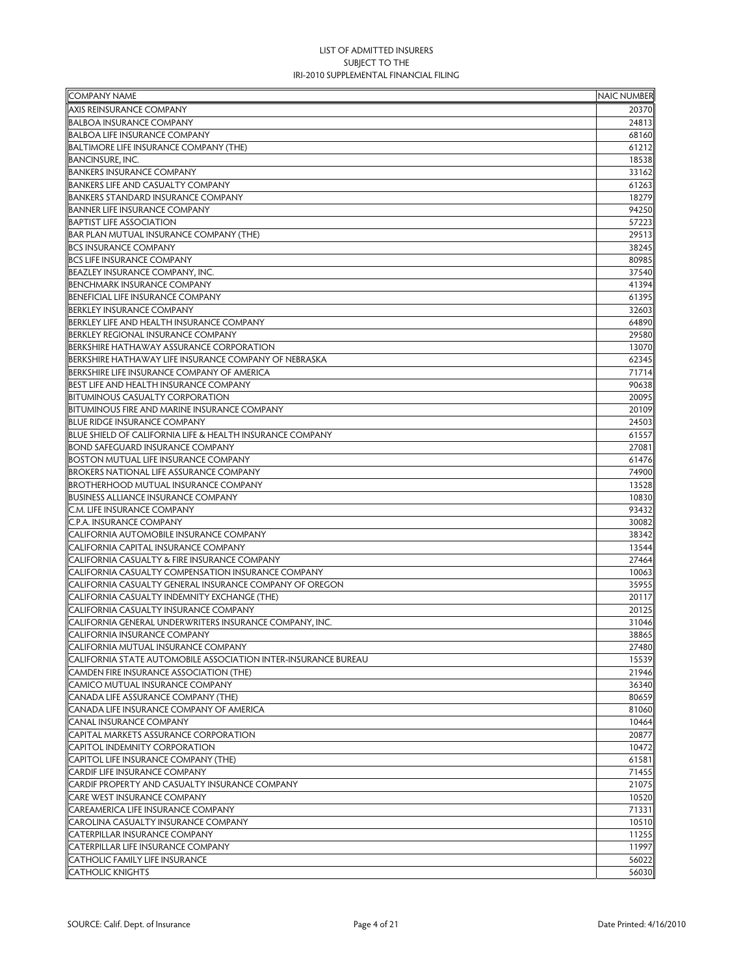| <b>COMPANY NAME</b>                                            | <b>NAIC NUMBER</b> |
|----------------------------------------------------------------|--------------------|
| <b>AXIS REINSURANCE COMPANY</b>                                | 20370              |
| <b>BALBOA INSURANCE COMPANY</b>                                | 24813              |
| <b>BALBOA LIFE INSURANCE COMPANY</b>                           | 68160              |
| <b>BALTIMORE LIFE INSURANCE COMPANY (THE)</b>                  | 61212              |
| <b>BANCINSURE, INC.</b>                                        | 18538              |
| <b>BANKERS INSURANCE COMPANY</b>                               | 33162              |
| <b>BANKERS LIFE AND CASUALTY COMPANY</b>                       | 61263              |
| <b>BANKERS STANDARD INSURANCE COMPANY</b>                      | 18279              |
| <b>BANNER LIFE INSURANCE COMPANY</b>                           | 94250              |
| <b>BAPTIST LIFE ASSOCIATION</b>                                | 57223              |
| BAR PLAN MUTUAL INSURANCE COMPANY (THE)                        | 29513              |
| <b>BCS INSURANCE COMPANY</b>                                   | 38245              |
| <b>BCS LIFE INSURANCE COMPANY</b>                              | 80985              |
| <b>BEAZLEY INSURANCE COMPANY, INC.</b>                         | 37540              |
| <b>BENCHMARK INSURANCE COMPANY</b>                             | 41394              |
| BENEFICIAL LIFE INSURANCE COMPANY                              | 61395              |
| <b>BERKLEY INSURANCE COMPANY</b>                               | 32603              |
| BERKLEY LIFE AND HEALTH INSURANCE COMPANY                      | 64890              |
| <b>BERKLEY REGIONAL INSURANCE COMPANY</b>                      | 29580              |
| <b>BERKSHIRE HATHAWAY ASSURANCE CORPORATION</b>                | 13070              |
| BERKSHIRE HATHAWAY LIFE INSURANCE COMPANY OF NEBRASKA          | 62345              |
| BERKSHIRE LIFE INSURANCE COMPANY OF AMERICA                    | 71714              |
| BEST LIFE AND HEALTH INSURANCE COMPANY                         | 90638              |
| <b>BITUMINOUS CASUALTY CORPORATION</b>                         | 20095              |
| <b>BITUMINOUS FIRE AND MARINE INSURANCE COMPANY</b>            | 20109              |
| <b>BLUE RIDGE INSURANCE COMPANY</b>                            | 24503              |
| BLUE SHIELD OF CALIFORNIA LIFE & HEALTH INSURANCE COMPANY      | 61557              |
| <b>BOND SAFEGUARD INSURANCE COMPANY</b>                        | 27081              |
| <b>BOSTON MUTUAL LIFE INSURANCE COMPANY</b>                    | 61476              |
| <b>BROKERS NATIONAL LIFE ASSURANCE COMPANY</b>                 | 74900              |
| <b>BROTHERHOOD MUTUAL INSURANCE COMPANY</b>                    | 13528              |
| <b>BUSINESS ALLIANCE INSURANCE COMPANY</b>                     | 10830              |
| C.M. LIFE INSURANCE COMPANY                                    | 93432              |
| C.P.A. INSURANCE COMPANY                                       | 30082              |
| CALIFORNIA AUTOMOBILE INSURANCE COMPANY                        | 38342              |
| CALIFORNIA CAPITAL INSURANCE COMPANY                           | 13544              |
| CALIFORNIA CASUALTY & FIRE INSURANCE COMPANY                   | 27464              |
| CALIFORNIA CASUALTY COMPENSATION INSURANCE COMPANY             | 10063              |
| CALIFORNIA CASUALTY GENERAL INSURANCE COMPANY OF OREGON        | 35955              |
| CALIFORNIA CASUALTY INDEMNITY EXCHANGE (THE)                   | 20117              |
| CALIFORNIA CASUALTY INSURANCE COMPANY                          | 20125              |
| CALIFORNIA GENERAL UNDERWRITERS INSURANCE COMPANY, INC.        | 31046              |
| CALIFORNIA INSURANCE COMPANY                                   | 38865              |
| CALIFORNIA MUTUAL INSURANCE COMPANY                            | 27480              |
| CALIFORNIA STATE AUTOMOBILE ASSOCIATION INTER-INSURANCE BUREAU | 15539              |
| CAMDEN FIRE INSURANCE ASSOCIATION (THE)                        | 21946              |
| CAMICO MUTUAL INSURANCE COMPANY                                | 36340              |
| CANADA LIFE ASSURANCE COMPANY (THE)                            | 80659              |
| CANADA LIFE INSURANCE COMPANY OF AMERICA                       | 81060              |
| CANAL INSURANCE COMPANY                                        | 10464              |
| CAPITAL MARKETS ASSURANCE CORPORATION                          | 20877              |
| CAPITOL INDEMNITY CORPORATION                                  | 10472              |
| CAPITOL LIFE INSURANCE COMPANY (THE)                           | 61581              |
| CARDIF LIFE INSURANCE COMPANY                                  | 71455              |
| CARDIF PROPERTY AND CASUALTY INSURANCE COMPANY                 | 21075              |
| <b>CARE WEST INSURANCE COMPANY</b>                             | 10520              |
| <b>CAREAMERICA LIFE INSURANCE COMPANY</b>                      | 71331              |
| CAROLINA CASUALTY INSURANCE COMPANY                            | 10510              |
| <b>CATERPILLAR INSURANCE COMPANY</b>                           | 11255              |
| CATERPILLAR LIFE INSURANCE COMPANY                             | 11997              |
| <b>CATHOLIC FAMILY LIFE INSURANCE</b>                          | 56022              |
| <b>CATHOLIC KNIGHTS</b>                                        | 56030              |
|                                                                |                    |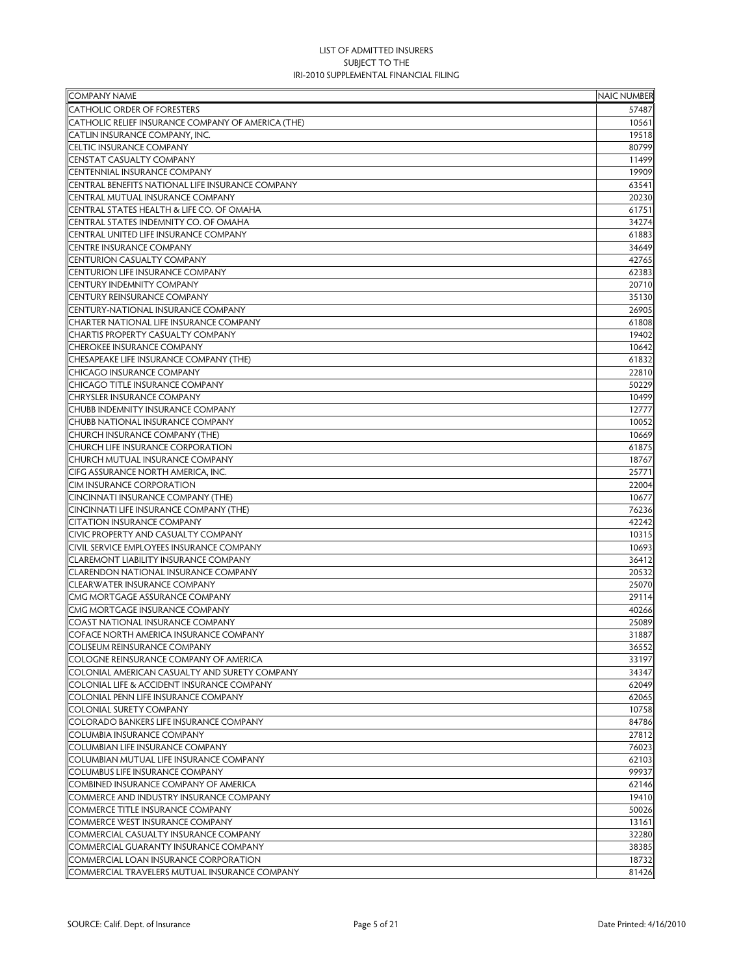| <b>COMPANY NAME</b>                                | <b>NAIC NUMBER</b> |
|----------------------------------------------------|--------------------|
| <b>CATHOLIC ORDER OF FORESTERS</b>                 | 57487              |
| CATHOLIC RELIEF INSURANCE COMPANY OF AMERICA (THE) | 10561              |
| CATLIN INSURANCE COMPANY, INC.                     | 19518              |
| CELTIC INSURANCE COMPANY                           | 80799              |
| <b>CENSTAT CASUALTY COMPANY</b>                    | 11499              |
| CENTENNIAL INSURANCE COMPANY                       | 19909              |
| CENTRAL BENEFITS NATIONAL LIFE INSURANCE COMPANY   | 63541              |
| CENTRAL MUTUAL INSURANCE COMPANY                   | 20230              |
| CENTRAL STATES HEALTH & LIFE CO. OF OMAHA          | 61751              |
| CENTRAL STATES INDEMNITY CO. OF OMAHA              | 34274              |
| CENTRAL UNITED LIFE INSURANCE COMPANY              | 61883              |
| <b>CENTRE INSURANCE COMPANY</b>                    | 34649              |
| <b>CENTURION CASUALTY COMPANY</b>                  | 42765              |
| CENTURION LIFE INSURANCE COMPANY                   | 62383              |
| CENTURY INDEMNITY COMPANY                          | 20710              |
| CENTURY REINSURANCE COMPANY                        | 35130              |
| CENTURY-NATIONAL INSURANCE COMPANY                 | 26905              |
| CHARTER NATIONAL LIFE INSURANCE COMPANY            | 61808              |
| <b>CHARTIS PROPERTY CASUALTY COMPANY</b>           | 19402              |
| CHEROKEE INSURANCE COMPANY                         | 10642              |
| CHESAPEAKE LIFE INSURANCE COMPANY (THE)            | 61832              |
| <b>CHICAGO INSURANCE COMPANY</b>                   | 22810              |
| CHICAGO TITLE INSURANCE COMPANY                    | 50229              |
| <b>CHRYSLER INSURANCE COMPANY</b>                  | 10499              |
| CHUBB INDEMNITY INSURANCE COMPANY                  | 12777              |
| CHUBB NATIONAL INSURANCE COMPANY                   | 10052              |
| CHURCH INSURANCE COMPANY (THE)                     | 10669              |
| CHURCH LIFE INSURANCE CORPORATION                  | 61875              |
| CHURCH MUTUAL INSURANCE COMPANY                    | 18767              |
| CIFG ASSURANCE NORTH AMERICA, INC.                 | 25771              |
| <b>CIM INSURANCE CORPORATION</b>                   | 22004              |
| CINCINNATI INSURANCE COMPANY (THE)                 | 10677              |
| CINCINNATI LIFE INSURANCE COMPANY (THE)            | 76236              |
| <b>CITATION INSURANCE COMPANY</b>                  | 42242              |
| CIVIC PROPERTY AND CASUALTY COMPANY                | 10315              |
| CIVIL SERVICE EMPLOYEES INSURANCE COMPANY          | 10693              |
| <b>CLAREMONT LIABILITY INSURANCE COMPANY</b>       | 36412              |
| <b>CLARENDON NATIONAL INSURANCE COMPANY</b>        | 20532              |
| CLEARWATER INSURANCE COMPANY                       | 25070              |
| CMG MORTGAGE ASSURANCE COMPANY                     |                    |
|                                                    | 29114              |
| CMG MORTGAGE INSURANCE COMPANY                     | 40266              |
| COAST NATIONAL INSURANCE COMPANY                   | 25089              |
| COFACE NORTH AMERICA INSURANCE COMPANY             | 31887              |
| <b>COLISEUM REINSURANCE COMPANY</b>                | 36552              |
| COLOGNE REINSURANCE COMPANY OF AMERICA             | 33197              |
| COLONIAL AMERICAN CASUALTY AND SURETY COMPANY      | 34347              |
| COLONIAL LIFE & ACCIDENT INSURANCE COMPANY         | 62049              |
| COLONIAL PENN LIFE INSURANCE COMPANY               | 62065              |
| COLONIAL SURETY COMPANY                            | 10758              |
| COLORADO BANKERS LIFE INSURANCE COMPANY            | 84786              |
| COLUMBIA INSURANCE COMPANY                         | 27812              |
| COLUMBIAN LIFE INSURANCE COMPANY                   | 76023              |
| COLUMBIAN MUTUAL LIFE INSURANCE COMPANY            | 62103              |
| COLUMBUS LIFE INSURANCE COMPANY                    | 99937              |
| COMBINED INSURANCE COMPANY OF AMERICA              | 62146              |
| COMMERCE AND INDUSTRY INSURANCE COMPANY            | 19410              |
| COMMERCE TITLE INSURANCE COMPANY                   | 50026              |
| COMMERCE WEST INSURANCE COMPANY                    | 13161              |
| COMMERCIAL CASUALTY INSURANCE COMPANY              | 32280              |
| COMMERCIAL GUARANTY INSURANCE COMPANY              | 38385              |
| COMMERCIAL LOAN INSURANCE CORPORATION              | 18732              |
| COMMERCIAL TRAVELERS MUTUAL INSURANCE COMPANY      | 81426              |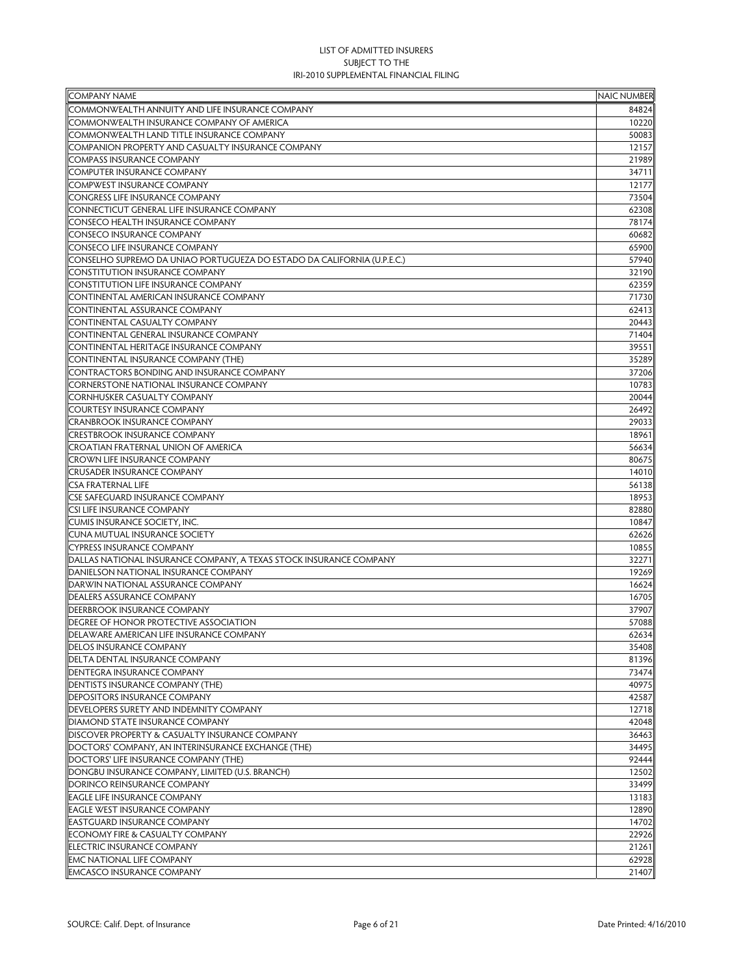| <b>COMPANY NAME</b>                                                     | <b>NAIC NUMBER</b> |
|-------------------------------------------------------------------------|--------------------|
| COMMONWEALTH ANNUITY AND LIFE INSURANCE COMPANY                         | 84824              |
| COMMONWEALTH INSURANCE COMPANY OF AMERICA                               | 10220              |
| COMMONWEALTH LAND TITLE INSURANCE COMPANY                               | 50083              |
| COMPANION PROPERTY AND CASUALTY INSURANCE COMPANY                       | 12157              |
| <b>COMPASS INSURANCE COMPANY</b>                                        | 21989              |
| <b>COMPUTER INSURANCE COMPANY</b>                                       | 34711              |
| <b>COMPWEST INSURANCE COMPANY</b>                                       | 12177              |
| <b>CONGRESS LIFE INSURANCE COMPANY</b>                                  | 73504              |
| CONNECTICUT GENERAL LIFE INSURANCE COMPANY                              | 62308              |
| <b>CONSECO HEALTH INSURANCE COMPANY</b>                                 | 78174              |
| <b>CONSECO INSURANCE COMPANY</b>                                        | 60682              |
| <b>CONSECO LIFE INSURANCE COMPANY</b>                                   | 65900              |
| CONSELHO SUPREMO DA UNIAO PORTUGUEZA DO ESTADO DA CALIFORNIA (U.P.E.C.) | 57940              |
| <b>CONSTITUTION INSURANCE COMPANY</b>                                   | 32190              |
| <b>CONSTITUTION LIFE INSURANCE COMPANY</b>                              | 62359              |
| CONTINENTAL AMERICAN INSURANCE COMPANY                                  | 71730              |
| <b>CONTINENTAL ASSURANCE COMPANY</b>                                    | 62413              |
| CONTINENTAL CASUALTY COMPANY                                            | 20443              |
| <b>CONTINENTAL GENERAL INSURANCE COMPANY</b>                            | 71404              |
| CONTINENTAL HERITAGE INSURANCE COMPANY                                  | 39551              |
| CONTINENTAL INSURANCE COMPANY (THE)                                     | 35289              |
|                                                                         |                    |
| CONTRACTORS BONDING AND INSURANCE COMPANY                               | 37206              |
| <b>CORNERSTONE NATIONAL INSURANCE COMPANY</b>                           | 10783              |
| <b>CORNHUSKER CASUALTY COMPANY</b>                                      | 20044              |
| <b>COURTESY INSURANCE COMPANY</b>                                       | 26492              |
| <b>CRANBROOK INSURANCE COMPANY</b>                                      | 29033              |
| <b>CRESTBROOK INSURANCE COMPANY</b>                                     | 18961              |
| <b>CROATIAN FRATERNAL UNION OF AMERICA</b>                              | 56634              |
| <b>CROWN LIFE INSURANCE COMPANY</b>                                     | 80675              |
| <b>CRUSADER INSURANCE COMPANY</b>                                       | 14010              |
| <b>CSA FRATERNAL LIFE</b>                                               | 56138              |
| <b>CSE SAFEGUARD INSURANCE COMPANY</b>                                  | 18953              |
| <b>CSI LIFE INSURANCE COMPANY</b>                                       | 82880              |
| <b>CUMIS INSURANCE SOCIETY, INC.</b>                                    | 10847              |
| <b>CUNA MUTUAL INSURANCE SOCIETY</b>                                    | 62626              |
| <b>CYPRESS INSURANCE COMPANY</b>                                        | 10855              |
| DALLAS NATIONAL INSURANCE COMPANY, A TEXAS STOCK INSURANCE COMPANY      | 32271              |
| DANIELSON NATIONAL INSURANCE COMPANY                                    | 19269              |
| DARWIN NATIONAL ASSURANCE COMPANY                                       | 16624              |
| <b>DEALERS ASSURANCE COMPANY</b>                                        | 16705              |
| <b>DEERBROOK INSURANCE COMPANY</b>                                      | 37907              |
| <b>DEGREE OF HONOR PROTECTIVE ASSOCIATION</b>                           | 57088              |
| DELAWARE AMERICAN LIFE INSURANCE COMPANY                                | 62634              |
| <b>DELOS INSURANCE COMPANY</b>                                          | 35408              |
| DELTA DENTAL INSURANCE COMPANY                                          | 81396              |
| DENTEGRA INSURANCE COMPANY                                              | 73474              |
| <b>DENTISTS INSURANCE COMPANY (THE)</b>                                 | 40975              |
| <b>DEPOSITORS INSURANCE COMPANY</b>                                     | 42587              |
| DEVELOPERS SURETY AND INDEMNITY COMPANY                                 | 12718              |
| DIAMOND STATE INSURANCE COMPANY                                         | 42048              |
| <b>DISCOVER PROPERTY &amp; CASUALTY INSURANCE COMPANY</b>               | 36463              |
| DOCTORS' COMPANY, AN INTERINSURANCE EXCHANGE (THE)                      | 34495              |
| DOCTORS' LIFE INSURANCE COMPANY (THE)                                   | 92444              |
| DONGBU INSURANCE COMPANY, LIMITED (U.S. BRANCH)                         | 12502              |
| DORINCO REINSURANCE COMPANY                                             | 33499              |
| <b>EAGLE LIFE INSURANCE COMPANY</b>                                     | 13183              |
| <b>EAGLE WEST INSURANCE COMPANY</b>                                     | 12890              |
| <b>EASTGUARD INSURANCE COMPANY</b>                                      | 14702              |
| <b>ECONOMY FIRE &amp; CASUALTY COMPANY</b>                              | 22926              |
| <b>ELECTRIC INSURANCE COMPANY</b>                                       | 21261              |
| <b>EMC NATIONAL LIFE COMPANY</b>                                        | 62928              |
| <b>EMCASCO INSURANCE COMPANY</b>                                        | 21407              |
|                                                                         |                    |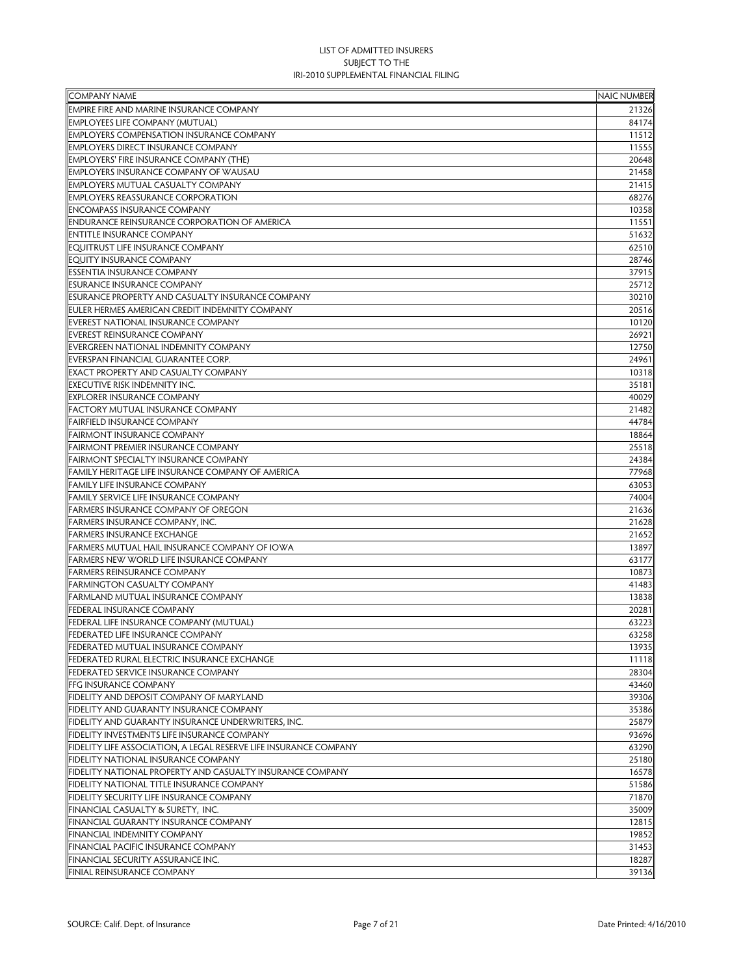| <b>COMPANY NAME</b>                                                      | <b>NAIC NUMBER</b> |
|--------------------------------------------------------------------------|--------------------|
| <b>EMPIRE FIRE AND MARINE INSURANCE COMPANY</b>                          | 21326              |
| <b>EMPLOYEES LIFE COMPANY (MUTUAL)</b>                                   | 84174              |
| <b>EMPLOYERS COMPENSATION INSURANCE COMPANY</b>                          | 11512              |
| <b>EMPLOYERS DIRECT INSURANCE COMPANY</b>                                | 11555              |
| <b>EMPLOYERS' FIRE INSURANCE COMPANY (THE)</b>                           | 20648              |
| <b>EMPLOYERS INSURANCE COMPANY OF WAUSAU</b>                             | 21458              |
| <b>EMPLOYERS MUTUAL CASUALTY COMPANY</b>                                 | 21415              |
| <b>EMPLOYERS REASSURANCE CORPORATION</b>                                 | 68276              |
| <b>ENCOMPASS INSURANCE COMPANY</b>                                       | 10358              |
| <b>ENDURANCE REINSURANCE CORPORATION OF AMERICA</b>                      | 11551              |
| <b>ENTITLE INSURANCE COMPANY</b>                                         | 51632              |
| <b>EQUITRUST LIFE INSURANCE COMPANY</b>                                  | 62510              |
| <b>EQUITY INSURANCE COMPANY</b>                                          | 28746              |
| <b>ESSENTIA INSURANCE COMPANY</b>                                        | 37915              |
| <b>ESURANCE INSURANCE COMPANY</b>                                        | 25712              |
| <b>ESURANCE PROPERTY AND CASUALTY INSURANCE COMPANY</b>                  | 30210              |
| EULER HERMES AMERICAN CREDIT INDEMNITY COMPANY                           | 20516              |
| EVEREST NATIONAL INSURANCE COMPANY                                       | 10120              |
| <b>EVEREST REINSURANCE COMPANY</b>                                       | 26921              |
| <b>EVERGREEN NATIONAL INDEMNITY COMPANY</b>                              | 12750              |
| EVERSPAN FINANCIAL GUARANTEE CORP.                                       | 24961              |
| <b>EXACT PROPERTY AND CASUALTY COMPANY</b>                               | 10318              |
| <b>EXECUTIVE RISK INDEMNITY INC.</b>                                     | 35181              |
| <b>EXPLORER INSURANCE COMPANY</b>                                        | 40029              |
| <b>FACTORY MUTUAL INSURANCE COMPANY</b>                                  | 21482              |
| <b>FAIRFIELD INSURANCE COMPANY</b>                                       | 44784              |
| <b>FAIRMONT INSURANCE COMPANY</b>                                        | 18864              |
| <b>FAIRMONT PREMIER INSURANCE COMPANY</b>                                | 25518              |
| <b>FAIRMONT SPECIALTY INSURANCE COMPANY</b>                              | 24384              |
| FAMILY HERITAGE LIFE INSURANCE COMPANY OF AMERICA                        | 77968              |
| <b>FAMILY LIFE INSURANCE COMPANY</b>                                     | 63053              |
| <b>FAMILY SERVICE LIFE INSURANCE COMPANY</b>                             | 74004              |
| <b>FARMERS INSURANCE COMPANY OF OREGON</b>                               | 21636              |
| <b>FARMERS INSURANCE COMPANY, INC.</b>                                   | 21628              |
| <b>FARMERS INSURANCE EXCHANGE</b>                                        | 21652              |
| FARMERS MUTUAL HAIL INSURANCE COMPANY OF IOWA                            | 13897              |
| <b>FARMERS NEW WORLD LIFE INSURANCE COMPANY</b>                          | 63177              |
| <b>FARMERS REINSURANCE COMPANY</b>                                       | 10873              |
| <b>FARMINGTON CASUALTY COMPANY</b>                                       | 41483              |
| <b>FARMLAND MUTUAL INSURANCE COMPANY</b>                                 | 13838              |
| <b>FEDERAL INSURANCE COMPANY</b>                                         | 20281              |
| FEDERAL LIFE INSURANCE COMPANY (MUTUAL)                                  | 63223              |
| <b>FEDERATED LIFE INSURANCE COMPANY</b>                                  | 63258              |
| <b>FEDERATED MUTUAL INSURANCE COMPANY</b>                                | 13935              |
| FEDERATED RURAL ELECTRIC INSURANCE EXCHANGE                              | 11118              |
| <b>FEDERATED SERVICE INSURANCE COMPANY</b>                               | 28304              |
| FFG INSURANCE COMPANY                                                    | 43460              |
| FIDELITY AND DEPOSIT COMPANY OF MARYLAND                                 | 39306              |
| FIDELITY AND GUARANTY INSURANCE COMPANY                                  | 35386              |
| FIDELITY AND GUARANTY INSURANCE UNDERWRITERS, INC.                       | 25879              |
| FIDELITY INVESTMENTS LIFE INSURANCE COMPANY                              | 93696              |
| <b>FIDELITY LIFE ASSOCIATION, A LEGAL RESERVE LIFE INSURANCE COMPANY</b> | 63290              |
| FIDELITY NATIONAL INSURANCE COMPANY                                      | 25180              |
| FIDELITY NATIONAL PROPERTY AND CASUALTY INSURANCE COMPANY                | 16578              |
| FIDELITY NATIONAL TITLE INSURANCE COMPANY                                | 51586              |
| <b>FIDELITY SECURITY LIFE INSURANCE COMPANY</b>                          | 71870              |
| FINANCIAL CASUALTY & SURETY, INC.                                        | 35009              |
| <b>FINANCIAL GUARANTY INSURANCE COMPANY</b>                              | 12815              |
| FINANCIAL INDEMNITY COMPANY                                              | 19852              |
| <b>FINANCIAL PACIFIC INSURANCE COMPANY</b>                               | 31453              |
| FINANCIAL SECURITY ASSURANCE INC.                                        | 18287              |
| <b>FINIAL REINSURANCE COMPANY</b>                                        | 39136              |
|                                                                          |                    |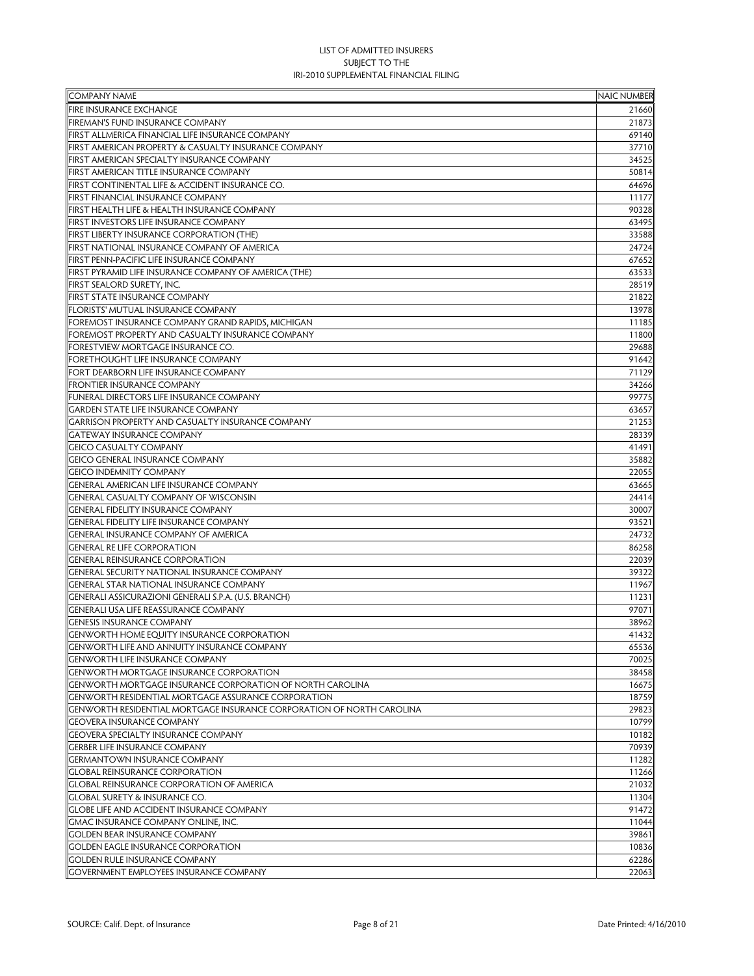| <b>COMPANY NAME</b>                                                   | <b>NAIC NUMBER</b> |
|-----------------------------------------------------------------------|--------------------|
| <b>FIRE INSURANCE EXCHANGE</b>                                        | 21660              |
| <b>FIREMAN'S FUND INSURANCE COMPANY</b>                               | 21873              |
| FIRST ALLMERICA FINANCIAL LIFE INSURANCE COMPANY                      | 69140              |
| FIRST AMERICAN PROPERTY & CASUALTY INSURANCE COMPANY                  | 37710              |
| FIRST AMERICAN SPECIALTY INSURANCE COMPANY                            | 34525              |
| FIRST AMERICAN TITLE INSURANCE COMPANY                                | 50814              |
| FIRST CONTINENTAL LIFE & ACCIDENT INSURANCE CO.                       | 64696              |
| <b>FIRST FINANCIAL INSURANCE COMPANY</b>                              | 11177              |
| FIRST HEALTH LIFE & HEALTH INSURANCE COMPANY                          | 90328              |
| <b>FIRST INVESTORS LIFE INSURANCE COMPANY</b>                         | 63495              |
| <b>FIRST LIBERTY INSURANCE CORPORATION (THE)</b>                      | 33588              |
| FIRST NATIONAL INSURANCE COMPANY OF AMERICA                           | 24724              |
| FIRST PENN-PACIFIC LIFE INSURANCE COMPANY                             | 67652              |
| FIRST PYRAMID LIFE INSURANCE COMPANY OF AMERICA (THE)                 | 63533              |
| FIRST SEALORD SURETY, INC.                                            | 28519              |
| <b>FIRST STATE INSURANCE COMPANY</b>                                  | 21822              |
| FLORISTS' MUTUAL INSURANCE COMPANY                                    | 13978              |
| FOREMOST INSURANCE COMPANY GRAND RAPIDS, MICHIGAN                     | 11185              |
| FOREMOST PROPERTY AND CASUALTY INSURANCE COMPANY                      | 11800              |
| FORESTVIEW MORTGAGE INSURANCE CO.                                     | 29688              |
| <b>FORETHOUGHT LIFE INSURANCE COMPANY</b>                             | 91642              |
| <b>FORT DEARBORN LIFE INSURANCE COMPANY</b>                           | 71129              |
| <b>FRONTIER INSURANCE COMPANY</b>                                     | 34266              |
| <b>FUNERAL DIRECTORS LIFE INSURANCE COMPANY</b>                       | 99775              |
| <b>GARDEN STATE LIFE INSURANCE COMPANY</b>                            | 63657              |
| GARRISON PROPERTY AND CASUALTY INSURANCE COMPANY                      | 21253              |
| <b>GATEWAY INSURANCE COMPANY</b>                                      | 28339              |
| <b>GEICO CASUALTY COMPANY</b>                                         | 41491              |
| <b>GEICO GENERAL INSURANCE COMPANY</b>                                | 35882              |
| <b>GEICO INDEMNITY COMPANY</b>                                        | 22055              |
| <b>GENERAL AMERICAN LIFE INSURANCE COMPANY</b>                        | 63665              |
| <b>GENERAL CASUALTY COMPANY OF WISCONSIN</b>                          | 24414              |
| <b>GENERAL FIDELITY INSURANCE COMPANY</b>                             | 30007              |
| <b>GENERAL FIDELITY LIFE INSURANCE COMPANY</b>                        | 93521              |
| <b>GENERAL INSURANCE COMPANY OF AMERICA</b>                           | 24732              |
| <b>GENERAL RE LIFE CORPORATION</b>                                    | 86258              |
| <b>GENERAL REINSURANCE CORPORATION</b>                                | 22039              |
| <b>GENERAL SECURITY NATIONAL INSURANCE COMPANY</b>                    | 39322              |
| <b>GENERAL STAR NATIONAL INSURANCE COMPANY</b>                        | 11967              |
| GENERALI ASSICURAZIONI GENERALI S.P.A. (U.S. BRANCH)                  | 11231              |
| <b>GENERALI USA LIFE REASSURANCE COMPANY</b>                          | 97071              |
| <b>GENESIS INSURANCE COMPANY</b>                                      | 38962              |
| <b>GENWORTH HOME EQUITY INSURANCE CORPORATION</b>                     | 41432              |
| GENWORTH LIFE AND ANNUITY INSURANCE COMPANY                           | 65536              |
| <b>GENWORTH LIFE INSURANCE COMPANY</b>                                | 70025              |
| <b>GENWORTH MORTGAGE INSURANCE CORPORATION</b>                        | 38458              |
| <b>GENWORTH MORTGAGE INSURANCE CORPORATION OF NORTH CAROLINA</b>      | 16675              |
| <b>GENWORTH RESIDENTIAL MORTGAGE ASSURANCE CORPORATION</b>            | 18759              |
| GENWORTH RESIDENTIAL MORTGAGE INSURANCE CORPORATION OF NORTH CAROLINA | 29823              |
| <b>GEOVERA INSURANCE COMPANY</b>                                      | 10799              |
| <b>GEOVERA SPECIALTY INSURANCE COMPANY</b>                            | 10182              |
| <b>GERBER LIFE INSURANCE COMPANY</b>                                  | 70939              |
| <b>GERMANTOWN INSURANCE COMPANY</b>                                   | 11282              |
| <b>GLOBAL REINSURANCE CORPORATION</b>                                 | 11266              |
| <b>GLOBAL REINSURANCE CORPORATION OF AMERICA</b>                      | 21032              |
| <b>GLOBAL SURETY &amp; INSURANCE CO.</b>                              | 11304              |
| <b>GLOBE LIFE AND ACCIDENT INSURANCE COMPANY</b>                      | 91472              |
| GMAC INSURANCE COMPANY ONLINE, INC.                                   | 11044              |
| <b>GOLDEN BEAR INSURANCE COMPANY</b>                                  | 39861              |
| <b>GOLDEN EAGLE INSURANCE CORPORATION</b>                             | 10836              |
| <b>GOLDEN RULE INSURANCE COMPANY</b>                                  | 62286              |
| <b>GOVERNMENT EMPLOYEES INSURANCE COMPANY</b>                         | 22063              |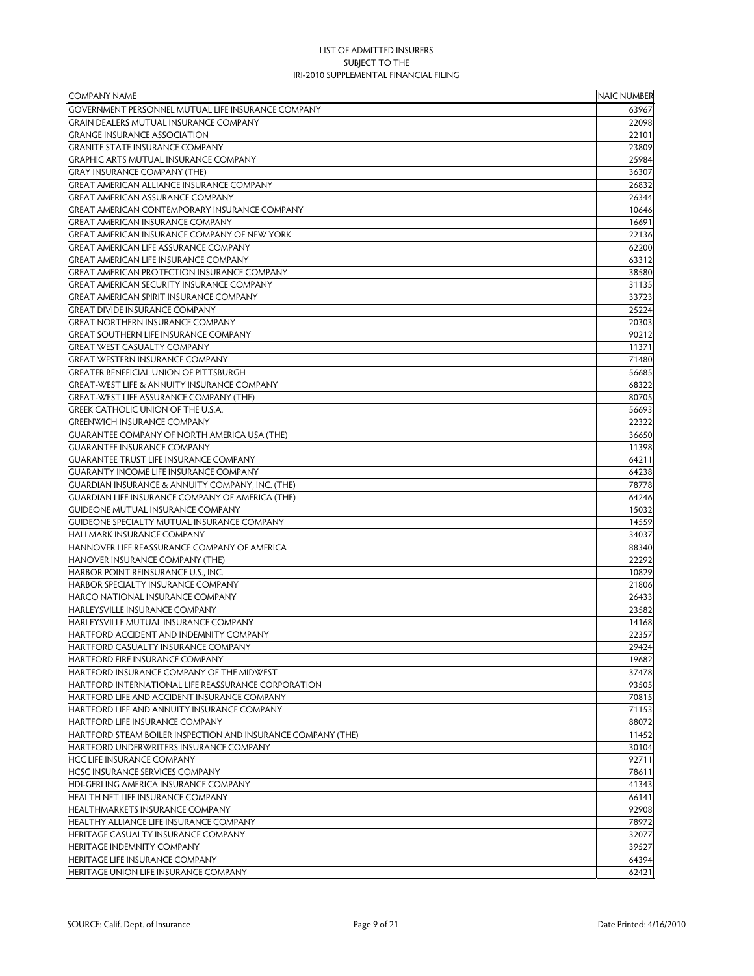| <b>COMPANY NAME</b>                                          | <b>NAIC NUMBER</b> |
|--------------------------------------------------------------|--------------------|
| GOVERNMENT PERSONNEL MUTUAL LIFE INSURANCE COMPANY           | 63967              |
| GRAIN DEALERS MUTUAL INSURANCE COMPANY                       | 22098              |
| <b>GRANGE INSURANCE ASSOCIATION</b>                          | 22101              |
| <b>GRANITE STATE INSURANCE COMPANY</b>                       | 23809              |
| <b>GRAPHIC ARTS MUTUAL INSURANCE COMPANY</b>                 | 25984              |
| <b>GRAY INSURANCE COMPANY (THE)</b>                          | 36307              |
| <b>GREAT AMERICAN ALLIANCE INSURANCE COMPANY</b>             | 26832              |
| <b>GREAT AMERICAN ASSURANCE COMPANY</b>                      | 26344              |
| <b>GREAT AMERICAN CONTEMPORARY INSURANCE COMPANY</b>         | 10646              |
| <b>GREAT AMERICAN INSURANCE COMPANY</b>                      | 16691              |
| GREAT AMERICAN INSURANCE COMPANY OF NEW YORK                 | 22136              |
| <b>GREAT AMERICAN LIFE ASSURANCE COMPANY</b>                 | 62200              |
| <b>GREAT AMERICAN LIFE INSURANCE COMPANY</b>                 | 63312              |
| <b>GREAT AMERICAN PROTECTION INSURANCE COMPANY</b>           | 38580              |
| <b>GREAT AMERICAN SECURITY INSURANCE COMPANY</b>             | 31135              |
| <b>GREAT AMERICAN SPIRIT INSURANCE COMPANY</b>               | 33723              |
| <b>GREAT DIVIDE INSURANCE COMPANY</b>                        | 25224              |
| <b>GREAT NORTHERN INSURANCE COMPANY</b>                      | 20303              |
| <b>GREAT SOUTHERN LIFE INSURANCE COMPANY</b>                 | 90212              |
| <b>GREAT WEST CASUALTY COMPANY</b>                           | 11371              |
| <b>GREAT WESTERN INSURANCE COMPANY</b>                       | 71480              |
| <b>GREATER BENEFICIAL UNION OF PITTSBURGH</b>                | 56685              |
| <b>GREAT-WEST LIFE &amp; ANNUITY INSURANCE COMPANY</b>       | 68322              |
| <b>GREAT-WEST LIFE ASSURANCE COMPANY (THE)</b>               | 80705              |
| GREEK CATHOLIC UNION OF THE U.S.A.                           | 56693              |
| <b>GREENWICH INSURANCE COMPANY</b>                           | 22322              |
| <b>GUARANTEE COMPANY OF NORTH AMERICA USA (THE)</b>          | 36650              |
| <b>GUARANTEE INSURANCE COMPANY</b>                           | 11398              |
| <b>GUARANTEE TRUST LIFE INSURANCE COMPANY</b>                | 64211              |
| <b>GUARANTY INCOME LIFE INSURANCE COMPANY</b>                | 64238              |
| <b>GUARDIAN INSURANCE &amp; ANNUITY COMPANY, INC. (THE)</b>  | 78778              |
| <b>GUARDIAN LIFE INSURANCE COMPANY OF AMERICA (THE)</b>      | 64246              |
| <b>GUIDEONE MUTUAL INSURANCE COMPANY</b>                     | 15032              |
| <b>GUIDEONE SPECIALTY MUTUAL INSURANCE COMPANY</b>           | 14559              |
| <b>HALLMARK INSURANCE COMPANY</b>                            | 34037              |
| HANNOVER LIFE REASSURANCE COMPANY OF AMERICA                 | 88340              |
| HANOVER INSURANCE COMPANY (THE)                              | 22292              |
| HARBOR POINT REINSURANCE U.S., INC.                          | 10829              |
| <b>HARBOR SPECIALTY INSURANCE COMPANY</b>                    | 21806              |
| <b>HARCO NATIONAL INSURANCE COMPANY</b>                      | 26433              |
| HARLEYSVILLE INSURANCE COMPANY                               | 23582              |
| HARLEYSVILLE MUTUAL INSURANCE COMPANY                        | 14168              |
| HARTFORD ACCIDENT AND INDEMNITY COMPANY                      | 22357              |
|                                                              |                    |
| HARTFORD CASUALTY INSURANCE COMPANY                          | 29424              |
| <b>HARTFORD FIRE INSURANCE COMPANY</b>                       | 19682              |
| HARTFORD INSURANCE COMPANY OF THE MIDWEST                    | 37478              |
| HARTFORD INTERNATIONAL LIFE REASSURANCE CORPORATION          | 93505              |
| HARTFORD LIFE AND ACCIDENT INSURANCE COMPANY                 | 70815              |
| <b>HARTFORD LIFE AND ANNUITY INSURANCE COMPANY</b>           | 71153              |
| HARTFORD LIFE INSURANCE COMPANY                              | 88072              |
| HARTFORD STEAM BOILER INSPECTION AND INSURANCE COMPANY (THE) | 11452              |
| <b>HARTFORD UNDERWRITERS INSURANCE COMPANY</b>               | 30104              |
| <b>HCC LIFE INSURANCE COMPANY</b>                            | 92711              |
| <b>HCSC INSURANCE SERVICES COMPANY</b>                       | 78611              |
| HDI-GERLING AMERICA INSURANCE COMPANY                        | 41343              |
| <b>HEALTH NET LIFE INSURANCE COMPANY</b>                     | 66141              |
| <b>HEALTHMARKETS INSURANCE COMPANY</b>                       | 92908              |
| <b>HEALTHY ALLIANCE LIFE INSURANCE COMPANY</b>               | 78972              |
| <b>HERITAGE CASUALTY INSURANCE COMPANY</b>                   | 32077              |
| HERITAGE INDEMNITY COMPANY                                   | 39527              |
| HERITAGE LIFE INSURANCE COMPANY                              | 64394              |
| HERITAGE UNION LIFE INSURANCE COMPANY                        | 62421              |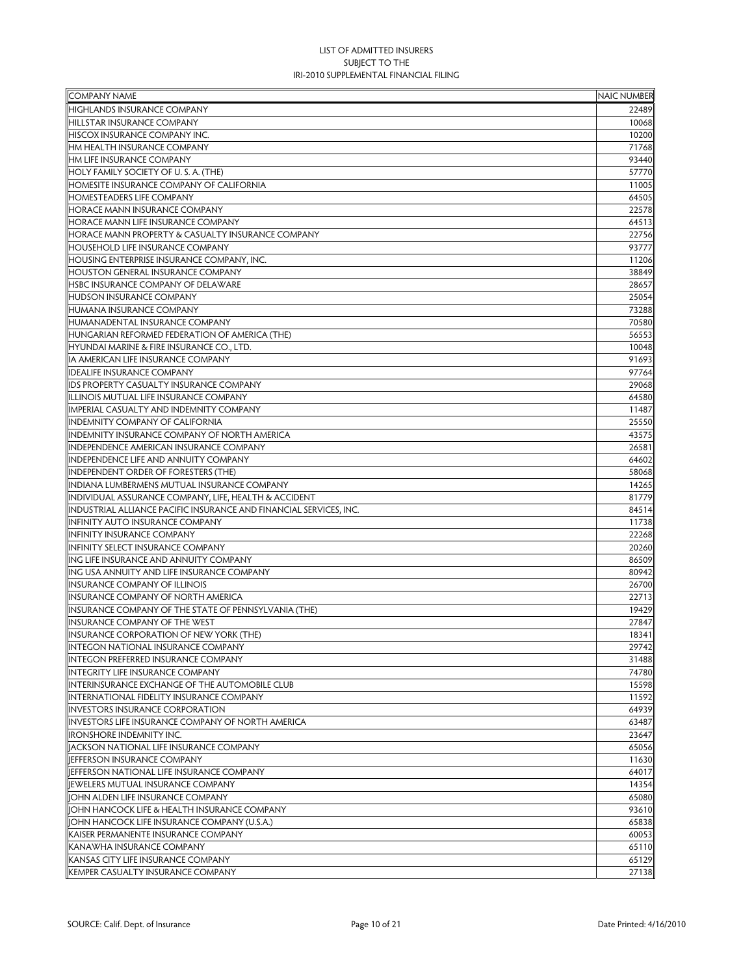| <b>COMPANY NAME</b>                                                | <b>NAIC NUMBER</b> |
|--------------------------------------------------------------------|--------------------|
| <b>HIGHLANDS INSURANCE COMPANY</b>                                 | 22489              |
| <b>HILLSTAR INSURANCE COMPANY</b>                                  | 10068              |
| <b>HISCOX INSURANCE COMPANY INC.</b>                               | 10200              |
| HM HEALTH INSURANCE COMPANY                                        | 71768              |
| HM LIFE INSURANCE COMPANY                                          | 93440              |
| HOLY FAMILY SOCIETY OF U.S. A. (THE)                               | 57770              |
| <b>HOMESITE INSURANCE COMPANY OF CALIFORNIA</b>                    | 11005              |
| <b>HOMESTEADERS LIFE COMPANY</b>                                   | 64505              |
| <b>HORACE MANN INSURANCE COMPANY</b>                               | 22578              |
| <b>HORACE MANN LIFE INSURANCE COMPANY</b>                          | 64513              |
| <b>HORACE MANN PROPERTY &amp; CASUALTY INSURANCE COMPANY</b>       | 22756              |
| <b>HOUSEHOLD LIFE INSURANCE COMPANY</b>                            | 93777              |
| <b>HOUSING ENTERPRISE INSURANCE COMPANY, INC.</b>                  | 11206              |
| <b>HOUSTON GENERAL INSURANCE COMPANY</b>                           | 38849              |
| <b>HSBC INSURANCE COMPANY OF DELAWARE</b>                          | 28657              |
| <b>HUDSON INSURANCE COMPANY</b>                                    | 25054              |
| <b>HUMANA INSURANCE COMPANY</b>                                    | 73288              |
| HUMANADENTAL INSURANCE COMPANY                                     | 70580              |
| HUNGARIAN REFORMED FEDERATION OF AMERICA (THE)                     | 56553              |
| HYUNDAI MARINE & FIRE INSURANCE CO., LTD.                          | 10048              |
| IA AMERICAN LIFE INSURANCE COMPANY                                 | 91693              |
| <b>IDEALIFE INSURANCE COMPANY</b>                                  | 97764              |
| <b>IDS PROPERTY CASUALTY INSURANCE COMPANY</b>                     | 29068              |
| ILLINOIS MUTUAL LIFE INSURANCE COMPANY                             | 64580              |
| IMPERIAL CASUALTY AND INDEMNITY COMPANY                            | 11487              |
| <b>INDEMNITY COMPANY OF CALIFORNIA</b>                             | 25550              |
| <b>INDEMNITY INSURANCE COMPANY OF NORTH AMERICA</b>                | 43575              |
| INDEPENDENCE AMERICAN INSURANCE COMPANY                            | 26581              |
| INDEPENDENCE LIFE AND ANNUITY COMPANY                              | 64602              |
| <b>INDEPENDENT ORDER OF FORESTERS (THE)</b>                        | 58068              |
| INDIANA LUMBERMENS MUTUAL INSURANCE COMPANY                        | 14265              |
| INDIVIDUAL ASSURANCE COMPANY, LIFE, HEALTH & ACCIDENT              | 81779              |
| INDUSTRIAL ALLIANCE PACIFIC INSURANCE AND FINANCIAL SERVICES, INC. | 84514              |
| INFINITY AUTO INSURANCE COMPANY                                    | 11738              |
| <b>INFINITY INSURANCE COMPANY</b>                                  | 22268              |
| <b>INFINITY SELECT INSURANCE COMPANY</b>                           | 20260              |
| ING LIFE INSURANCE AND ANNUITY COMPANY                             | 86509              |
| ING USA ANNUITY AND LIFE INSURANCE COMPANY                         | 80942              |
| <b>INSURANCE COMPANY OF ILLINOIS</b>                               | 26700              |
| <b>INSURANCE COMPANY OF NORTH AMERICA</b>                          | 22713              |
| INSURANCE COMPANY OF THE STATE OF PENNSYLVANIA (THE)               | 19429              |
| <b>INSURANCE COMPANY OF THE WEST</b>                               | 27847              |
| <b>INSURANCE CORPORATION OF NEW YORK (THE)</b>                     | 18341              |
| <b>INTEGON NATIONAL INSURANCE COMPANY</b>                          | 29742              |
| <b>INTEGON PREFERRED INSURANCE COMPANY</b>                         | 31488              |
| <b>INTEGRITY LIFE INSURANCE COMPANY</b>                            | 74780              |
| INTERINSURANCE EXCHANGE OF THE AUTOMOBILE CLUB                     | 15598              |
| INTERNATIONAL FIDELITY INSURANCE COMPANY                           | 11592              |
| <b>INVESTORS INSURANCE CORPORATION</b>                             | 64939              |
| INVESTORS LIFE INSURANCE COMPANY OF NORTH AMERICA                  | 63487              |
| <b>IRONSHORE INDEMNITY INC.</b>                                    | 23647              |
| <b>IACKSON NATIONAL LIFE INSURANCE COMPANY</b>                     | 65056              |
| <b>JEFFERSON INSURANCE COMPANY</b>                                 | 11630              |
| JEFFERSON NATIONAL LIFE INSURANCE COMPANY                          | 64017              |
| JEWELERS MUTUAL INSURANCE COMPANY                                  | 14354              |
| JOHN ALDEN LIFE INSURANCE COMPANY                                  | 65080              |
| JOHN HANCOCK LIFE & HEALTH INSURANCE COMPANY                       | 93610              |
| JOHN HANCOCK LIFE INSURANCE COMPANY (U.S.A.)                       | 65838              |
| KAISER PERMANENTE INSURANCE COMPANY                                | 60053              |
| KANAWHA INSURANCE COMPANY                                          | 65110              |
| KANSAS CITY LIFE INSURANCE COMPANY                                 | 65129              |
| KEMPER CASUALTY INSURANCE COMPANY                                  | 27138              |
|                                                                    |                    |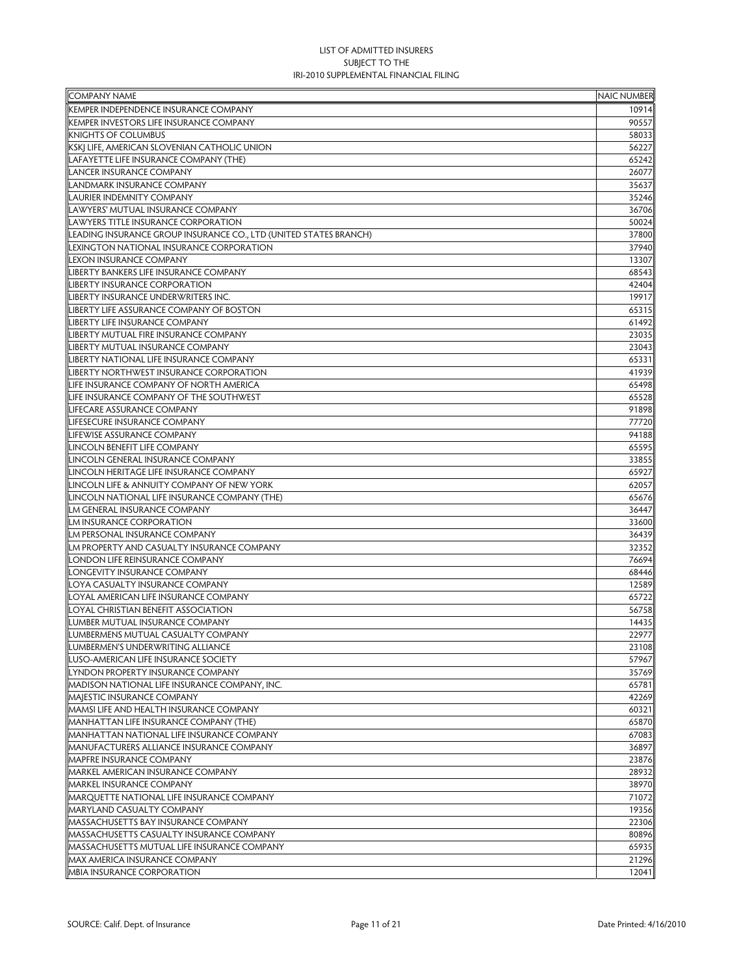| <b>COMPANY NAME</b>                                               | <b>NAIC NUMBER</b> |
|-------------------------------------------------------------------|--------------------|
| KEMPER INDEPENDENCE INSURANCE COMPANY                             | 10914              |
| KEMPER INVESTORS LIFE INSURANCE COMPANY                           | 90557              |
| <b>KNIGHTS OF COLUMBUS</b>                                        | 58033              |
| KSKJ LIFE, AMERICAN SLOVENIAN CATHOLIC UNION                      | 56227              |
| LAFAYETTE LIFE INSURANCE COMPANY (THE)                            | 65242              |
| <b>LANCER INSURANCE COMPANY</b>                                   | 26077              |
| LANDMARK INSURANCE COMPANY                                        | 35637              |
| LAURIER INDEMNITY COMPANY                                         | 35246              |
| LAWYERS' MUTUAL INSURANCE COMPANY                                 | 36706              |
| LAWYERS TITLE INSURANCE CORPORATION                               | 50024              |
| LEADING INSURANCE GROUP INSURANCE CO., LTD (UNITED STATES BRANCH) | 37800              |
| LEXINGTON NATIONAL INSURANCE CORPORATION                          | 37940              |
| LEXON INSURANCE COMPANY                                           | 13307              |
| IBERTY BANKERS LIFE INSURANCE COMPANY                             | 68543              |
| <b>LIBERTY INSURANCE CORPORATION</b>                              | 42404              |
| IBERTY INSURANCE UNDERWRITERS INC.                                | 19917              |
| <b>LIBERTY LIFE ASSURANCE COMPANY OF BOSTON</b>                   | 65315              |
| <b>IBERTY LIFE INSURANCE COMPANY</b>                              | 61492              |
| <b>IBERTY MUTUAL FIRE INSURANCE COMPANY</b>                       | 23035              |
| <b>IBERTY MUTUAL INSURANCE COMPANY</b>                            | 23043              |
| <b>IBERTY NATIONAL LIFE INSURANCE COMPANY</b>                     | 65331              |
| <b>LIBERTY NORTHWEST INSURANCE CORPORATION</b>                    | 41939              |
| LIFE INSURANCE COMPANY OF NORTH AMERICA                           | 65498              |
| LIFE INSURANCE COMPANY OF THE SOUTHWEST                           | 65528              |
| LIFECARE ASSURANCE COMPANY                                        | 91898              |
| <b>LIFESECURE INSURANCE COMPANY</b>                               | 77720              |
| <b>LIFEWISE ASSURANCE COMPANY</b>                                 | 94188              |
| LINCOLN BENEFIT LIFE COMPANY                                      | 65595              |
| LINCOLN GENERAL INSURANCE COMPANY                                 | 33855              |
| LINCOLN HERITAGE LIFE INSURANCE COMPANY                           | 65927              |
| LINCOLN LIFE & ANNUITY COMPANY OF NEW YORK                        | 62057              |
| LINCOLN NATIONAL LIFE INSURANCE COMPANY (THE)                     | 65676              |
| LM GENERAL INSURANCE COMPANY                                      | 36447              |
| LM INSURANCE CORPORATION                                          | 33600              |
| LM PERSONAL INSURANCE COMPANY                                     | 36439              |
| LM PROPERTY AND CASUALTY INSURANCE COMPANY                        | 32352              |
| ONDON LIFE REINSURANCE COMPANY                                    | 76694              |
| ONGEVITY INSURANCE COMPANY                                        | 68446              |
| OYA CASUALTY INSURANCE COMPANY                                    | 12589              |
| OYAL AMERICAN LIFE INSURANCE COMPANY                              | 65722              |
| OYAL CHRISTIAN BENEFIT ASSOCIATION                                | 56758              |
| LUMBER MUTUAL INSURANCE COMPANY                                   | 14435              |
| LUMBERMENS MUTUAL CASUALTY COMPANY                                | 22977              |
| LUMBERMEN'S UNDERWRITING ALLIANCE                                 | 23108              |
| LUSO-AMERICAN LIFE INSURANCE SOCIETY                              | 57967              |
| LYNDON PROPERTY INSURANCE COMPANY                                 | 35769              |
| MADISON NATIONAL LIFE INSURANCE COMPANY, INC.                     | 65781              |
| MAJESTIC INSURANCE COMPANY                                        | 42269              |
| MAMSI LIFE AND HEALTH INSURANCE COMPANY                           | 60321              |
| MANHATTAN LIFE INSURANCE COMPANY (THE)                            | 65870              |
| MANHATTAN NATIONAL LIFE INSURANCE COMPANY                         | 67083              |
| MANUFACTURERS ALLIANCE INSURANCE COMPANY                          | 36897              |
| <b>MAPFRE INSURANCE COMPANY</b>                                   | 23876              |
| MARKEL AMERICAN INSURANCE COMPANY                                 | 28932              |
| <b>MARKEL INSURANCE COMPANY</b>                                   | 38970              |
| MARQUETTE NATIONAL LIFE INSURANCE COMPANY                         | 71072              |
| MARYLAND CASUALTY COMPANY                                         | 19356              |
| MASSACHUSETTS BAY INSURANCE COMPANY                               | 22306              |
| MASSACHUSETTS CASUALTY INSURANCE COMPANY                          | 80896              |
| MASSACHUSETTS MUTUAL LIFE INSURANCE COMPANY                       | 65935              |
| MAX AMERICA INSURANCE COMPANY                                     | 21296              |
| MBIA INSURANCE CORPORATION                                        | 12041              |
|                                                                   |                    |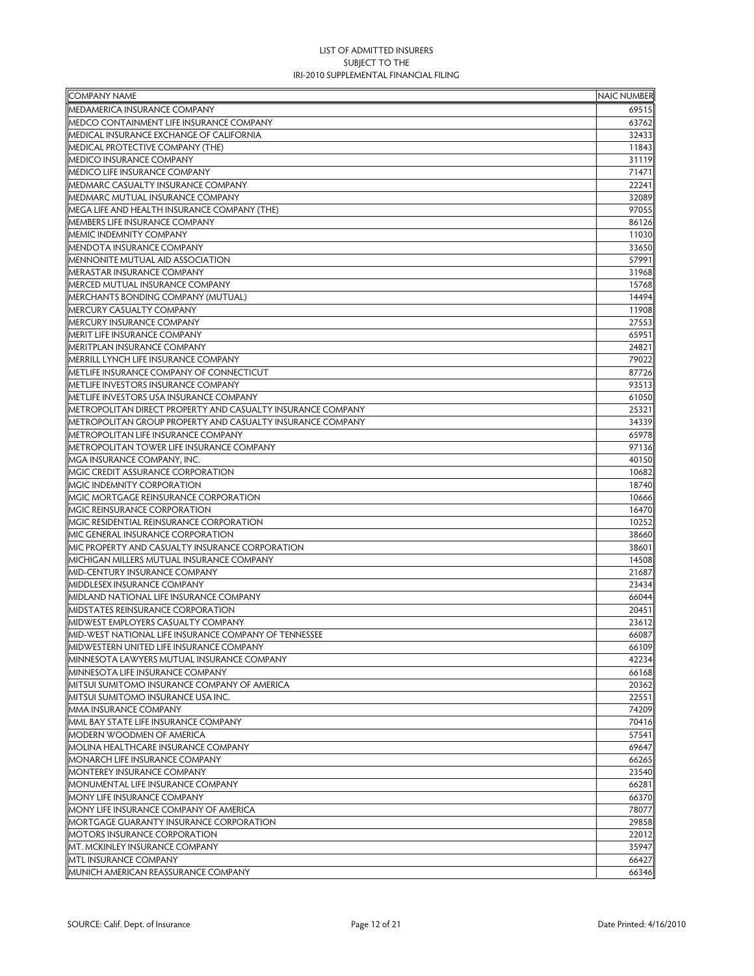| <b>COMPANY NAME</b>                                         | <b>NAIC NUMBER</b> |
|-------------------------------------------------------------|--------------------|
| MEDAMERICA INSURANCE COMPANY                                | 69515              |
| MEDCO CONTAINMENT LIFE INSURANCE COMPANY                    | 63762              |
| MEDICAL INSURANCE EXCHANGE OF CALIFORNIA                    | 32433              |
| MEDICAL PROTECTIVE COMPANY (THE)                            | 11843              |
| <b>MEDICO INSURANCE COMPANY</b>                             | 31119              |
| MEDICO LIFE INSURANCE COMPANY                               | 71471              |
| MEDMARC CASUALTY INSURANCE COMPANY                          | 22241              |
| MEDMARC MUTUAL INSURANCE COMPANY                            | 32089              |
| MEGA LIFE AND HEALTH INSURANCE COMPANY (THE)                | 97055              |
| MEMBERS LIFE INSURANCE COMPANY                              | 86126              |
| <b>MEMIC INDEMNITY COMPANY</b>                              | 11030              |
| <b>MENDOTA INSURANCE COMPANY</b>                            | 33650              |
| MENNONITE MUTUAL AID ASSOCIATION                            | 57991              |
| MERASTAR INSURANCE COMPANY                                  | 31968              |
| MERCED MUTUAL INSURANCE COMPANY                             | 15768              |
| MERCHANTS BONDING COMPANY (MUTUAL)                          | 14494              |
| MERCURY CASUALTY COMPANY                                    | 11908              |
| <b>MERCURY INSURANCE COMPANY</b>                            | 27553              |
| MERIT LIFE INSURANCE COMPANY                                | 65951              |
| MERITPLAN INSURANCE COMPANY                                 | 24821              |
| MERRILL LYNCH LIFE INSURANCE COMPANY                        | 79022              |
| METLIFE INSURANCE COMPANY OF CONNECTICUT                    | 87726              |
| METLIFE INVESTORS INSURANCE COMPANY                         | 93513              |
| METLIFE INVESTORS USA INSURANCE COMPANY                     | 61050              |
| METROPOLITAN DIRECT PROPERTY AND CASUALTY INSURANCE COMPANY | 25321              |
| METROPOLITAN GROUP PROPERTY AND CASUALTY INSURANCE COMPANY  | 34339              |
| METROPOLITAN LIFE INSURANCE COMPANY                         | 65978              |
| METROPOLITAN TOWER LIFE INSURANCE COMPANY                   | 97136              |
| MGA INSURANCE COMPANY, INC.                                 | 40150              |
| MGIC CREDIT ASSURANCE CORPORATION                           | 10682              |
| MGIC INDEMNITY CORPORATION                                  | 18740              |
| MGIC MORTGAGE REINSURANCE CORPORATION                       | 10666              |
| MGIC REINSURANCE CORPORATION                                | 16470              |
| MGIC RESIDENTIAL REINSURANCE CORPORATION                    | 10252              |
| MIC GENERAL INSURANCE CORPORATION                           | 38660              |
| MIC PROPERTY AND CASUALTY INSURANCE CORPORATION             | 38601              |
| MICHIGAN MILLERS MUTUAL INSURANCE COMPANY                   | 14508              |
| MID-CENTURY INSURANCE COMPANY                               | 21687              |
| MIDDLESEX INSURANCE COMPANY                                 | 23434              |
| MIDLAND NATIONAL LIFE INSURANCE COMPANY                     | 66044              |
| MIDSTATES REINSURANCE CORPORATION                           | 20451              |
| MIDWEST EMPLOYERS CASUALTY COMPANY                          | 23612              |
| MID-WEST NATIONAL LIFE INSURANCE COMPANY OF TENNESSEE       | 66087              |
| MIDWESTERN UNITED LIFE INSURANCE COMPANY                    | 66109              |
| MINNESOTA LAWYERS MUTUAL INSURANCE COMPANY                  | 42234              |
| MINNESOTA LIFE INSURANCE COMPANY                            | 66168              |
| MITSUI SUMITOMO INSURANCE COMPANY OF AMERICA                | 20362              |
| MITSUI SUMITOMO INSURANCE USA INC.                          | 22551              |
| MMA INSURANCE COMPANY                                       | 74209              |
| MML BAY STATE LIFE INSURANCE COMPANY                        | 70416              |
| <b>MODERN WOODMEN OF AMERICA</b>                            | 57541              |
| MOLINA HEALTHCARE INSURANCE COMPANY                         | 69647              |
| MONARCH LIFE INSURANCE COMPANY                              | 66265              |
| <b>MONTEREY INSURANCE COMPANY</b>                           | 23540              |
| MONUMENTAL LIFE INSURANCE COMPANY                           | 66281              |
| MONY LIFE INSURANCE COMPANY                                 | 66370              |
| MONY LIFE INSURANCE COMPANY OF AMERICA                      | 78077              |
| MORTGAGE GUARANTY INSURANCE CORPORATION                     | 29858              |
| MOTORS INSURANCE CORPORATION                                | 22012              |
| MT. MCKINLEY INSURANCE COMPANY                              | 35947              |
| <b>MTL INSURANCE COMPANY</b>                                | 66427              |
| MUNICH AMERICAN REASSURANCE COMPANY                         | 66346              |
|                                                             |                    |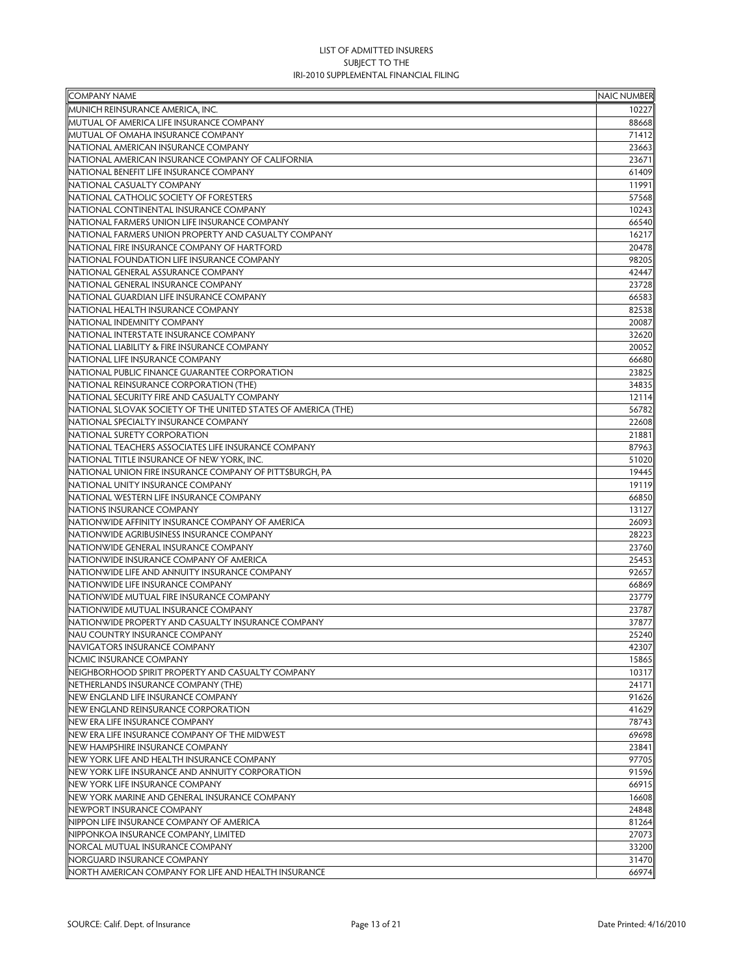| <b>COMPANY NAME</b>                                           | <b>NAIC NUMBER</b> |
|---------------------------------------------------------------|--------------------|
| MUNICH REINSURANCE AMERICA, INC.                              | 10227              |
| MUTUAL OF AMERICA LIFE INSURANCE COMPANY                      | 88668              |
| MUTUAL OF OMAHA INSURANCE COMPANY                             | 71412              |
| NATIONAL AMERICAN INSURANCE COMPANY                           | 23663              |
| NATIONAL AMERICAN INSURANCE COMPANY OF CALIFORNIA             | 23671              |
| NATIONAL BENEFIT LIFE INSURANCE COMPANY                       | 61409              |
| NATIONAL CASUALTY COMPANY                                     | 11991              |
| NATIONAL CATHOLIC SOCIETY OF FORESTERS                        | 57568              |
| NATIONAL CONTINENTAL INSURANCE COMPANY                        | 10243              |
| NATIONAL FARMERS UNION LIFE INSURANCE COMPANY                 | 66540              |
| NATIONAL FARMERS UNION PROPERTY AND CASUALTY COMPANY          | 16217              |
| NATIONAL FIRE INSURANCE COMPANY OF HARTFORD                   | 20478              |
| NATIONAL FOUNDATION LIFE INSURANCE COMPANY                    | 98205              |
| NATIONAL GENERAL ASSURANCE COMPANY                            | 42447              |
| NATIONAL GENERAL INSURANCE COMPANY                            | 23728              |
| NATIONAL GUARDIAN LIFE INSURANCE COMPANY                      | 66583              |
| NATIONAL HEALTH INSURANCE COMPANY                             | 82538              |
| NATIONAL INDEMNITY COMPANY                                    | 20087              |
| NATIONAL INTERSTATE INSURANCE COMPANY                         | 32620              |
| NATIONAL LIABILITY & FIRE INSURANCE COMPANY                   | 20052              |
| NATIONAL LIFE INSURANCE COMPANY                               | 66680              |
| NATIONAL PUBLIC FINANCE GUARANTEE CORPORATION                 | 23825              |
| NATIONAL REINSURANCE CORPORATION (THE)                        | 34835              |
| NATIONAL SECURITY FIRE AND CASUALTY COMPANY                   | 12114              |
| NATIONAL SLOVAK SOCIETY OF THE UNITED STATES OF AMERICA (THE) | 56782              |
| NATIONAL SPECIALTY INSURANCE COMPANY                          | 22608              |
| NATIONAL SURETY CORPORATION                                   | 21881              |
| NATIONAL TEACHERS ASSOCIATES LIFE INSURANCE COMPANY           | 87963              |
| NATIONAL TITLE INSURANCE OF NEW YORK, INC.                    | 51020              |
| NATIONAL UNION FIRE INSURANCE COMPANY OF PITTSBURGH, PA       | 19445              |
| NATIONAL UNITY INSURANCE COMPANY                              | 19119              |
| NATIONAL WESTERN LIFE INSURANCE COMPANY                       | 66850              |
| <b>NATIONS INSURANCE COMPANY</b>                              | 13127              |
| NATIONWIDE AFFINITY INSURANCE COMPANY OF AMERICA              | 26093              |
| NATIONWIDE AGRIBUSINESS INSURANCE COMPANY                     | 28223              |
| NATIONWIDE GENERAL INSURANCE COMPANY                          | 23760              |
| NATIONWIDE INSURANCE COMPANY OF AMERICA                       | 25453              |
| NATIONWIDE LIFE AND ANNUITY INSURANCE COMPANY                 | 92657              |
| NATIONWIDE LIFE INSURANCE COMPANY                             | 66869              |
| NATIONWIDE MUTUAL FIRE INSURANCE COMPANY                      | 23779              |
| NATIONWIDE MUTUAL INSURANCE COMPANY                           | 23787              |
| NATIONWIDE PROPERTY AND CASUALTY INSURANCE COMPANY            | 37877              |
| <b>NAU COUNTRY INSURANCE COMPANY</b>                          | 25240              |
| NAVIGATORS INSURANCE COMPANY                                  | 42307              |
| NCMIC INSURANCE COMPANY                                       | 15865              |
| NEIGHBORHOOD SPIRIT PROPERTY AND CASUALTY COMPANY             | 10317              |
| NETHERLANDS INSURANCE COMPANY (THE)                           | 24171              |
| NEW ENGLAND LIFE INSURANCE COMPANY                            | 91626              |
| NEW ENGLAND REINSURANCE CORPORATION                           | 41629              |
| NEW ERA LIFE INSURANCE COMPANY                                | 78743              |
| NEW ERA LIFE INSURANCE COMPANY OF THE MIDWEST                 | 69698              |
| NEW HAMPSHIRE INSURANCE COMPANY                               | 23841              |
| NEW YORK LIFE AND HEALTH INSURANCE COMPANY                    | 97705              |
| NEW YORK LIFE INSURANCE AND ANNUITY CORPORATION               | 91596              |
| NEW YORK LIFE INSURANCE COMPANY                               | 66915              |
| NEW YORK MARINE AND GENERAL INSURANCE COMPANY                 | 16608              |
| NEWPORT INSURANCE COMPANY                                     | 24848              |
| NIPPON LIFE INSURANCE COMPANY OF AMERICA                      | 81264              |
| NIPPONKOA INSURANCE COMPANY, LIMITED                          | 27073              |
| NORCAL MUTUAL INSURANCE COMPANY                               | 33200              |
| NORGUARD INSURANCE COMPANY                                    | 31470              |
| NORTH AMERICAN COMPANY FOR LIFE AND HEALTH INSURANCE          | 66974              |
|                                                               |                    |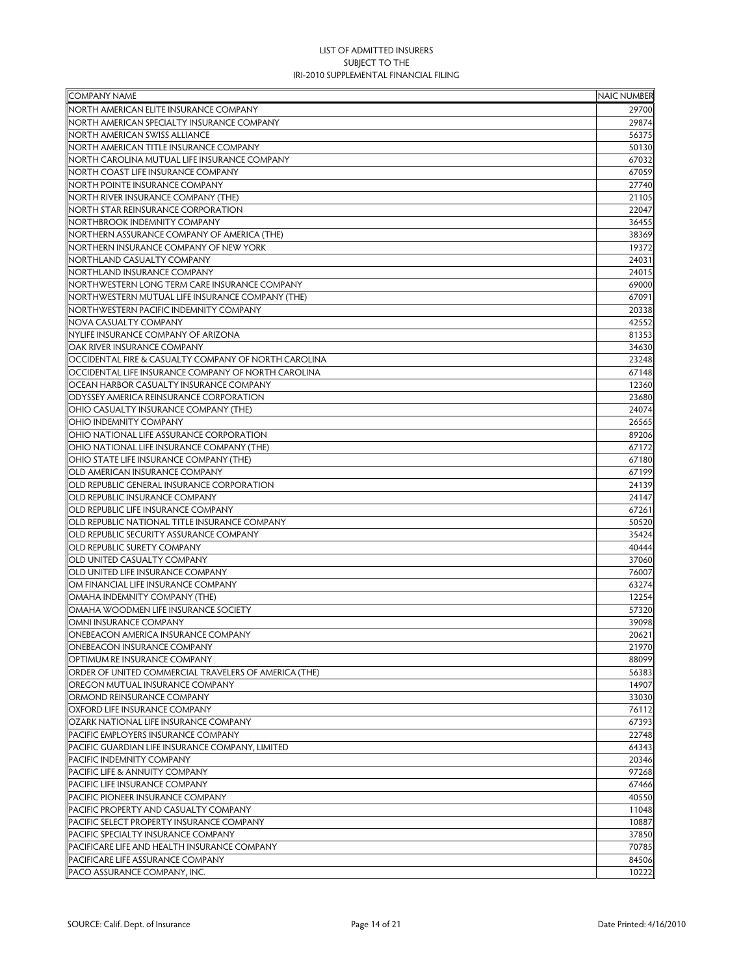| <b>COMPANY NAME</b>                                   | <b>NAIC NUMBER</b> |
|-------------------------------------------------------|--------------------|
| NORTH AMERICAN ELITE INSURANCE COMPANY                | 29700              |
| NORTH AMERICAN SPECIALTY INSURANCE COMPANY            | 29874              |
| NORTH AMERICAN SWISS ALLIANCE                         | 56375              |
| NORTH AMERICAN TITLE INSURANCE COMPANY                | 50130              |
| NORTH CAROLINA MUTUAL LIFE INSURANCE COMPANY          | 67032              |
| NORTH COAST LIFE INSURANCE COMPANY                    | 67059              |
| NORTH POINTE INSURANCE COMPANY                        | 27740              |
| NORTH RIVER INSURANCE COMPANY (THE)                   | 21105              |
| NORTH STAR REINSURANCE CORPORATION                    | 22047              |
| NORTHBROOK INDEMNITY COMPANY                          | 36455              |
| NORTHERN ASSURANCE COMPANY OF AMERICA (THE)           | 38369              |
| NORTHERN INSURANCE COMPANY OF NEW YORK                | 19372              |
| NORTHLAND CASUALTY COMPANY                            | 24031              |
| NORTHLAND INSURANCE COMPANY                           | 24015              |
| NORTHWESTERN LONG TERM CARE INSURANCE COMPANY         | 69000              |
| NORTHWESTERN MUTUAL LIFE INSURANCE COMPANY (THE)      | 67091              |
| NORTHWESTERN PACIFIC INDEMNITY COMPANY                | 20338              |
| NOVA CASUALTY COMPANY                                 | 42552              |
| <b>NYLIFE INSURANCE COMPANY OF ARIZONA</b>            |                    |
| OAK RIVER INSURANCE COMPANY                           | 81353              |
|                                                       | 34630              |
| OCCIDENTAL FIRE & CASUALTY COMPANY OF NORTH CAROLINA  | 23248              |
| OCCIDENTAL LIFE INSURANCE COMPANY OF NORTH CAROLINA   | 67148              |
| OCEAN HARBOR CASUALTY INSURANCE COMPANY               | 12360              |
| <b>ODYSSEY AMERICA REINSURANCE CORPORATION</b>        | 23680              |
| OHIO CASUALTY INSURANCE COMPANY (THE)                 | 24074              |
| OHIO INDEMNITY COMPANY                                | 26565              |
| OHIO NATIONAL LIFE ASSURANCE CORPORATION              | 89206              |
| OHIO NATIONAL LIFE INSURANCE COMPANY (THE)            | 67172              |
| OHIO STATE LIFE INSURANCE COMPANY (THE)               | 67180              |
| OLD AMERICAN INSURANCE COMPANY                        | 67199              |
| OLD REPUBLIC GENERAL INSURANCE CORPORATION            | 24139              |
| OLD REPUBLIC INSURANCE COMPANY                        | 24147              |
| OLD REPUBLIC LIFE INSURANCE COMPANY                   | 67261              |
| OLD REPUBLIC NATIONAL TITLE INSURANCE COMPANY         | 50520              |
| OLD REPUBLIC SECURITY ASSURANCE COMPANY               | 35424              |
| OLD REPUBLIC SURETY COMPANY                           | 40444              |
| OLD UNITED CASUALTY COMPANY                           | 37060              |
| OLD UNITED LIFE INSURANCE COMPANY                     | 76007              |
| OM FINANCIAL LIFE INSURANCE COMPANY                   | 63274              |
| OMAHA INDEMNITY COMPANY (THE)                         | 12254              |
| OMAHA WOODMEN LIFE INSURANCE SOCIETY                  | 57320              |
| OMNI INSURANCE COMPANY                                | 39098              |
| <b>ONEBEACON AMERICA INSURANCE COMPANY</b>            | 20621              |
| ONEBEACON INSURANCE COMPANY                           | 21970              |
| OPTIMUM RE INSURANCE COMPANY                          | 88099              |
| ORDER OF UNITED COMMERCIAL TRAVELERS OF AMERICA (THE) | 56383              |
| OREGON MUTUAL INSURANCE COMPANY                       | 14907              |
| ORMOND REINSURANCE COMPANY                            | 33030              |
| OXFORD LIFE INSURANCE COMPANY                         | 76112              |
| OZARK NATIONAL LIFE INSURANCE COMPANY                 | 67393              |
| PACIFIC EMPLOYERS INSURANCE COMPANY                   | 22748              |
| PACIFIC GUARDIAN LIFE INSURANCE COMPANY, LIMITED      | 64343              |
| PACIFIC INDEMNITY COMPANY                             | 20346              |
| PACIFIC LIFE & ANNUITY COMPANY                        | 97268              |
| PACIFIC LIFE INSURANCE COMPANY                        | 67466              |
| PACIFIC PIONEER INSURANCE COMPANY                     | 40550              |
| PACIFIC PROPERTY AND CASUALTY COMPANY                 | 11048              |
| PACIFIC SELECT PROPERTY INSURANCE COMPANY             | 10887              |
| PACIFIC SPECIALTY INSURANCE COMPANY                   | 37850              |
| PACIFICARE LIFE AND HEALTH INSURANCE COMPANY          | 70785              |
|                                                       | 84506              |
| PACIFICARE LIFE ASSURANCE COMPANY                     |                    |
| PACO ASSURANCE COMPANY, INC.                          | 10222              |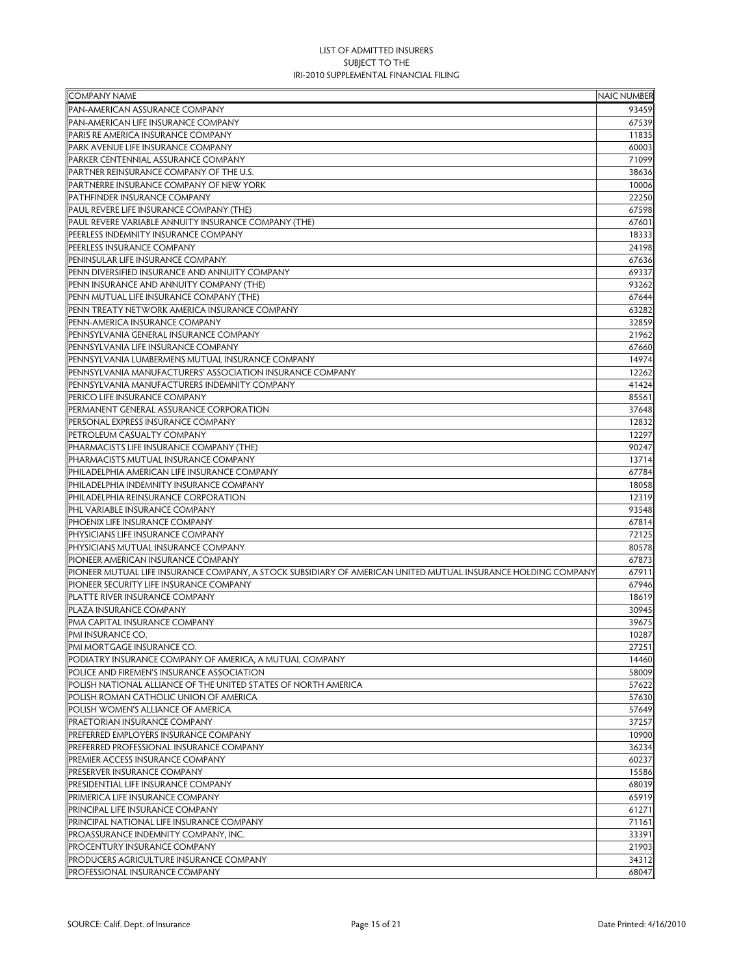| <b>COMPANY NAME</b>                                                                                           | <b>NAIC NUMBER</b> |
|---------------------------------------------------------------------------------------------------------------|--------------------|
| PAN-AMERICAN ASSURANCE COMPANY                                                                                | 93459              |
| PAN-AMERICAN LIFE INSURANCE COMPANY                                                                           | 67539              |
| PARIS RE AMERICA INSURANCE COMPANY                                                                            | 11835              |
| PARK AVENUE LIFE INSURANCE COMPANY                                                                            | 60003              |
| PARKER CENTENNIAL ASSURANCE COMPANY                                                                           | 71099              |
| PARTNER REINSURANCE COMPANY OF THE U.S.                                                                       | 38636              |
| PARTNERRE INSURANCE COMPANY OF NEW YORK                                                                       | 10006              |
| PATHFINDER INSURANCE COMPANY                                                                                  | 22250              |
| PAUL REVERE LIFE INSURANCE COMPANY (THE)                                                                      | 67598              |
| PAUL REVERE VARIABLE ANNUITY INSURANCE COMPANY (THE)                                                          | 67601              |
| PEERLESS INDEMNITY INSURANCE COMPANY                                                                          | 18333              |
| PEERLESS INSURANCE COMPANY                                                                                    | 24198              |
| PENINSULAR LIFE INSURANCE COMPANY                                                                             | 67636              |
| PENN DIVERSIFIED INSURANCE AND ANNUITY COMPANY                                                                | 69337              |
| PENN INSURANCE AND ANNUITY COMPANY (THE)                                                                      | 93262              |
| PENN MUTUAL LIFE INSURANCE COMPANY (THE)                                                                      | 67644              |
| PENN TREATY NETWORK AMERICA INSURANCE COMPANY                                                                 | 63282              |
| PENN-AMERICA INSURANCE COMPANY                                                                                | 32859              |
| PENNSYLVANIA GENERAL INSURANCE COMPANY                                                                        | 21962              |
| PENNSYLVANIA LIFE INSURANCE COMPANY                                                                           | 67660              |
| PENNSYLVANIA LUMBERMENS MUTUAL INSURANCE COMPANY                                                              | 14974              |
| PENNSYLVANIA MANUFACTURERS' ASSOCIATION INSURANCE COMPANY                                                     | 12262              |
| PENNSYLVANIA MANUFACTURERS INDEMNITY COMPANY                                                                  | 41424              |
| PERICO LIFE INSURANCE COMPANY                                                                                 | 85561              |
| PERMANENT GENERAL ASSURANCE CORPORATION                                                                       | 37648              |
| PERSONAL EXPRESS INSURANCE COMPANY                                                                            | 12832              |
| PETROLEUM CASUALTY COMPANY                                                                                    | 12297              |
| PHARMACISTS LIFE INSURANCE COMPANY (THE)                                                                      | 90247              |
| PHARMACISTS MUTUAL INSURANCE COMPANY                                                                          | 13714              |
| PHILADELPHIA AMERICAN LIFE INSURANCE COMPANY                                                                  | 67784              |
| PHILADELPHIA INDEMNITY INSURANCE COMPANY                                                                      | 18058              |
| PHILADELPHIA REINSURANCE CORPORATION                                                                          | 12319              |
| PHL VARIABLE INSURANCE COMPANY                                                                                | 93548              |
| PHOENIX LIFE INSURANCE COMPANY                                                                                | 67814              |
| PHYSICIANS LIFE INSURANCE COMPANY                                                                             | 72125              |
| PHYSICIANS MUTUAL INSURANCE COMPANY                                                                           | 80578              |
| PIONEER AMERICAN INSURANCE COMPANY                                                                            | 67873              |
| PIONEER MUTUAL LIFE INSURANCE COMPANY, A STOCK SUBSIDIARY OF AMERICAN UNITED MUTUAL INSURANCE HOLDING COMPANY | 67911              |
| PIONEER SECURITY LIFE INSURANCE COMPANY                                                                       | 67946              |
| PLATTE RIVER INSURANCE COMPANY                                                                                | 18619              |
| PLAZA INSURANCE COMPANY                                                                                       | 30945              |
| PMA CAPITAL INSURANCE COMPANY                                                                                 | 39675              |
| PMI INSURANCE CO.                                                                                             | 10287              |
| PMI MORTGAGE INSURANCE CO.                                                                                    | 27251              |
| PODIATRY INSURANCE COMPANY OF AMERICA, A MUTUAL COMPANY                                                       | 14460              |
| POLICE AND FIREMEN'S INSURANCE ASSOCIATION                                                                    | 58009              |
| POLISH NATIONAL ALLIANCE OF THE UNITED STATES OF NORTH AMERICA                                                | 57622              |
| POLISH ROMAN CATHOLIC UNION OF AMERICA                                                                        | 57630              |
| POLISH WOMEN'S ALLIANCE OF AMERICA                                                                            | 57649              |
| PRAETORIAN INSURANCE COMPANY                                                                                  | 37257              |
| PREFERRED EMPLOYERS INSURANCE COMPANY                                                                         | 10900              |
| PREFERRED PROFESSIONAL INSURANCE COMPANY                                                                      | 36234              |
| PREMIER ACCESS INSURANCE COMPANY                                                                              | 60237              |
| <b>PRESERVER INSURANCE COMPANY</b>                                                                            | 15586              |
|                                                                                                               |                    |
| PRESIDENTIAL LIFE INSURANCE COMPANY<br>PRIMERICA LIFE INSURANCE COMPANY                                       | 68039<br>65919     |
| PRINCIPAL LIFE INSURANCE COMPANY                                                                              | 61271              |
|                                                                                                               |                    |
| PRINCIPAL NATIONAL LIFE INSURANCE COMPANY<br>PROASSURANCE INDEMNITY COMPANY, INC.                             | 71161<br>33391     |
| PROCENTURY INSURANCE COMPANY                                                                                  | 21903              |
| PRODUCERS AGRICULTURE INSURANCE COMPANY                                                                       | 34312              |
|                                                                                                               |                    |
| PROFESSIONAL INSURANCE COMPANY                                                                                | 68047              |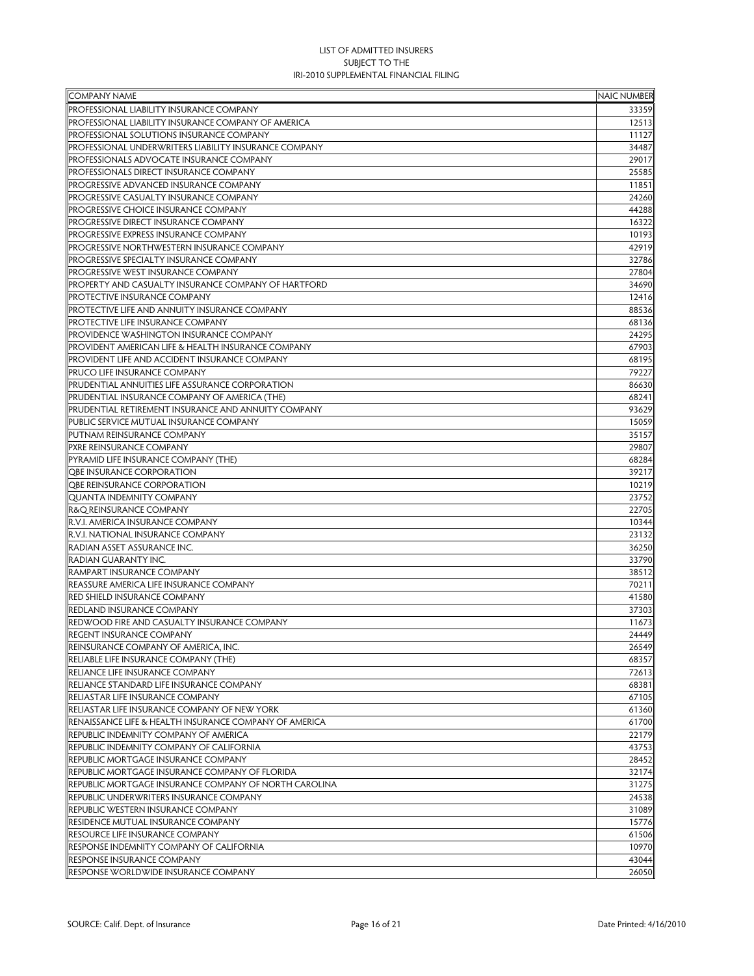| <b>COMPANY NAME</b>                                    | <b>NAIC NUMBER</b> |
|--------------------------------------------------------|--------------------|
| PROFESSIONAL LIABILITY INSURANCE COMPANY               | 33359              |
| PROFESSIONAL LIABILITY INSURANCE COMPANY OF AMERICA    | 12513              |
| PROFESSIONAL SOLUTIONS INSURANCE COMPANY               | 11127              |
| PROFESSIONAL UNDERWRITERS LIABILITY INSURANCE COMPANY  | 34487              |
| PROFESSIONALS ADVOCATE INSURANCE COMPANY               | 29017              |
| PROFESSIONALS DIRECT INSURANCE COMPANY                 | 25585              |
| PROGRESSIVE ADVANCED INSURANCE COMPANY                 | 11851              |
| PROGRESSIVE CASUALTY INSURANCE COMPANY                 | 24260              |
| PROGRESSIVE CHOICE INSURANCE COMPANY                   | 44288              |
| PROGRESSIVE DIRECT INSURANCE COMPANY                   | 16322              |
| PROGRESSIVE EXPRESS INSURANCE COMPANY                  | 10193              |
| PROGRESSIVE NORTHWESTERN INSURANCE COMPANY             | 42919              |
| PROGRESSIVE SPECIALTY INSURANCE COMPANY                | 32786              |
| PROGRESSIVE WEST INSURANCE COMPANY                     | 27804              |
| PROPERTY AND CASUALTY INSURANCE COMPANY OF HARTFORD    | 34690              |
| PROTECTIVE INSURANCE COMPANY                           | 12416              |
| PROTECTIVE LIFE AND ANNUITY INSURANCE COMPANY          | 88536              |
| PROTECTIVE LIFE INSURANCE COMPANY                      | 68136              |
|                                                        |                    |
| PROVIDENCE WASHINGTON INSURANCE COMPANY                | 24295              |
| PROVIDENT AMERICAN LIFE & HEALTH INSURANCE COMPANY     | 67903              |
| PROVIDENT LIFE AND ACCIDENT INSURANCE COMPANY          | 68195              |
| PRUCO LIFE INSURANCE COMPANY                           | 79227              |
| PRUDENTIAL ANNUITIES LIFE ASSURANCE CORPORATION        | 86630              |
| PRUDENTIAL INSURANCE COMPANY OF AMERICA (THE)          | 68241              |
| PRUDENTIAL RETIREMENT INSURANCE AND ANNUITY COMPANY    | 93629              |
| PUBLIC SERVICE MUTUAL INSURANCE COMPANY                | 15059              |
| PUTNAM REINSURANCE COMPANY                             | 35157              |
| PXRE REINSURANCE COMPANY                               | 29807              |
| PYRAMID LIFE INSURANCE COMPANY (THE)                   | 68284              |
| <b>QBE INSURANCE CORPORATION</b>                       | 39217              |
| <b>OBE REINSURANCE CORPORATION</b>                     | 10219              |
| <b>QUANTA INDEMNITY COMPANY</b>                        | 23752              |
| R&Q REINSURANCE COMPANY                                | 22705              |
| R.V.I. AMERICA INSURANCE COMPANY                       | 10344              |
| R.V.I. NATIONAL INSURANCE COMPANY                      | 23132              |
| RADIAN ASSET ASSURANCE INC.                            | 36250              |
| RADIAN GUARANTY INC.                                   | 33790              |
| RAMPART INSURANCE COMPANY                              | 38512              |
| REASSURE AMERICA LIFE INSURANCE COMPANY                | 70211              |
| RED SHIELD INSURANCE COMPANY                           | 41580              |
| REDLAND INSURANCE COMPANY                              | 37303              |
| REDWOOD FIRE AND CASUALTY INSURANCE COMPANY            | 11673              |
| <b>REGENT INSURANCE COMPANY</b>                        | 24449              |
| REINSURANCE COMPANY OF AMERICA, INC.                   | 26549              |
| RELIABLE LIFE INSURANCE COMPANY (THE)                  | 68357              |
| RELIANCE LIFE INSURANCE COMPANY                        | 72613              |
| RELIANCE STANDARD LIFE INSURANCE COMPANY               | 68381              |
| RELIASTAR LIFE INSURANCE COMPANY                       | 67105              |
| RELIASTAR LIFE INSURANCE COMPANY OF NEW YORK           | 61360              |
| RENAISSANCE LIFE & HEALTH INSURANCE COMPANY OF AMERICA | 61700              |
| REPUBLIC INDEMNITY COMPANY OF AMERICA                  | 22179              |
| REPUBLIC INDEMNITY COMPANY OF CALIFORNIA               | 43753              |
| REPUBLIC MORTGAGE INSURANCE COMPANY                    | 28452              |
| REPUBLIC MORTGAGE INSURANCE COMPANY OF FLORIDA         | 32174              |
| REPUBLIC MORTGAGE INSURANCE COMPANY OF NORTH CAROLINA  | 31275              |
| REPUBLIC UNDERWRITERS INSURANCE COMPANY                | 24538              |
| REPUBLIC WESTERN INSURANCE COMPANY                     | 31089              |
| RESIDENCE MUTUAL INSURANCE COMPANY                     | 15776              |
| RESOURCE LIFE INSURANCE COMPANY                        | 61506              |
| RESPONSE INDEMNITY COMPANY OF CALIFORNIA               | 10970              |
| <b>RESPONSE INSURANCE COMPANY</b>                      |                    |
|                                                        | 43044              |
| RESPONSE WORLDWIDE INSURANCE COMPANY                   | 26050              |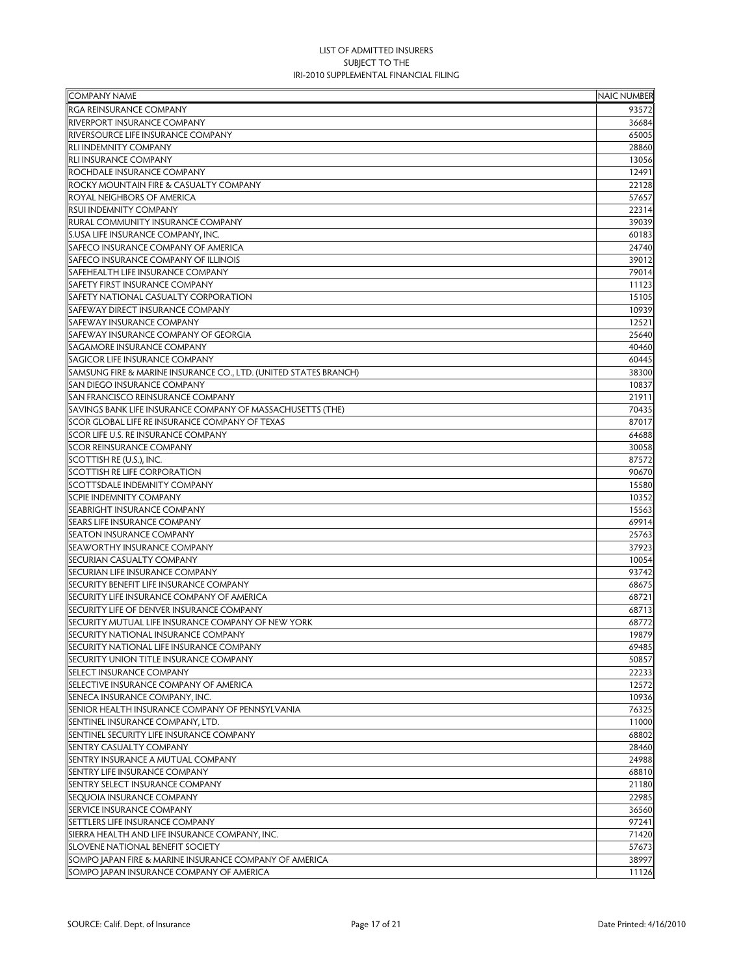| <b>COMPANY NAME</b>                                              | <b>NAIC NUMBER</b> |
|------------------------------------------------------------------|--------------------|
| <b>RGA REINSURANCE COMPANY</b>                                   | 93572              |
| RIVERPORT INSURANCE COMPANY                                      | 36684              |
| RIVERSOURCE LIFE INSURANCE COMPANY                               | 65005              |
| <b>RLI INDEMNITY COMPANY</b>                                     | 28860              |
| <b>RLI INSURANCE COMPANY</b>                                     | 13056              |
| ROCHDALE INSURANCE COMPANY                                       | 12491              |
| ROCKY MOUNTAIN FIRE & CASUALTY COMPANY                           | 22128              |
| ROYAL NEIGHBORS OF AMERICA                                       | 57657              |
| RSUI INDEMNITY COMPANY                                           | 22314              |
| RURAL COMMUNITY INSURANCE COMPANY                                | 39039              |
| S.USA LIFE INSURANCE COMPANY, INC.                               | 60183              |
| SAFECO INSURANCE COMPANY OF AMERICA                              | 24740              |
| SAFECO INSURANCE COMPANY OF ILLINOIS                             | 39012              |
| SAFEHEALTH LIFE INSURANCE COMPANY                                | 79014              |
| SAFETY FIRST INSURANCE COMPANY                                   | 11123              |
| SAFETY NATIONAL CASUALTY CORPORATION                             | 15105              |
| SAFEWAY DIRECT INSURANCE COMPANY                                 | 10939              |
| <b>SAFEWAY INSURANCE COMPANY</b>                                 | 12521              |
| SAFEWAY INSURANCE COMPANY OF GEORGIA                             | 25640              |
| SAGAMORE INSURANCE COMPANY                                       | 40460              |
| SAGICOR LIFE INSURANCE COMPANY                                   | 60445              |
| SAMSUNG FIRE & MARINE INSURANCE CO., LTD. (UNITED STATES BRANCH) | 38300              |
| SAN DIEGO INSURANCE COMPANY                                      | 10837              |
| <b>SAN FRANCISCO REINSURANCE COMPANY</b>                         | 21911              |
| SAVINGS BANK LIFE INSURANCE COMPANY OF MASSACHUSETTS (THE)       | 70435              |
| SCOR GLOBAL LIFE RE INSURANCE COMPANY OF TEXAS                   | 87017              |
| SCOR LIFE U.S. RE INSURANCE COMPANY                              | 64688              |
| <b>SCOR REINSURANCE COMPANY</b>                                  | 30058              |
| SCOTTISH RE (U.S.), INC.                                         | 87572              |
| SCOTTISH RE LIFE CORPORATION                                     | 90670              |
| SCOTTSDALE INDEMNITY COMPANY                                     | 15580              |
| <b>SCPIE INDEMNITY COMPANY</b>                                   | 10352              |
| SEABRIGHT INSURANCE COMPANY                                      | 15563              |
| SEARS LIFE INSURANCE COMPANY                                     | 69914              |
| <b>SEATON INSURANCE COMPANY</b>                                  | 25763              |
| SEAWORTHY INSURANCE COMPANY                                      | 37923              |
| SECURIAN CASUALTY COMPANY                                        | 10054              |
| SECURIAN LIFE INSURANCE COMPANY                                  | 93742              |
| SECURITY BENEFIT LIFE INSURANCE COMPANY                          | 68675              |
| SECURITY LIFE INSURANCE COMPANY OF AMERICA                       | 68721              |
| SECURITY LIFE OF DENVER INSURANCE COMPANY                        | 68713              |
| SECURITY MUTUAL LIFE INSURANCE COMPANY OF NEW YORK               | 68772              |
| SECURITY NATIONAL INSURANCE COMPANY                              | 19879              |
| SECURITY NATIONAL LIFE INSURANCE COMPANY                         | 69485              |
| SECURITY UNION TITLE INSURANCE COMPANY                           | 50857              |
| SELECT INSURANCE COMPANY                                         | 22233              |
| <b>SELECTIVE INSURANCE COMPANY OF AMERICA</b>                    | 12572              |
| SENECA INSURANCE COMPANY, INC.                                   | 10936              |
| SENIOR HEALTH INSURANCE COMPANY OF PENNSYLVANIA                  | 76325              |
| SENTINEL INSURANCE COMPANY, LTD.                                 | 11000              |
| SENTINEL SECURITY LIFE INSURANCE COMPANY                         | 68802              |
| SENTRY CASUALTY COMPANY                                          | 28460              |
| SENTRY INSURANCE A MUTUAL COMPANY                                | 24988              |
| SENTRY LIFE INSURANCE COMPANY                                    | 68810              |
| SENTRY SELECT INSURANCE COMPANY                                  | 21180              |
| SEQUOIA INSURANCE COMPANY                                        | 22985              |
| SERVICE INSURANCE COMPANY                                        | 36560              |
| SETTLERS LIFE INSURANCE COMPANY                                  | 97241              |
| SIERRA HEALTH AND LIFE INSURANCE COMPANY, INC.                   | 71420              |
| SLOVENE NATIONAL BENEFIT SOCIETY                                 | 57673              |
| SOMPO JAPAN FIRE & MARINE INSURANCE COMPANY OF AMERICA           | 38997              |
| SOMPO JAPAN INSURANCE COMPANY OF AMERICA                         | 11126              |
|                                                                  |                    |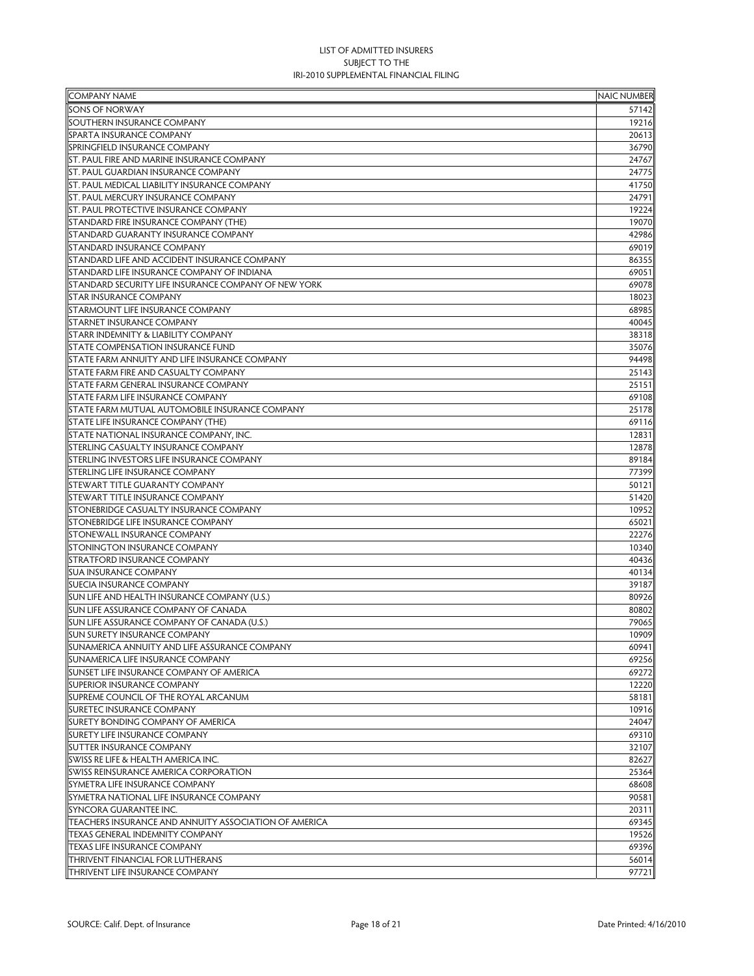| <b>COMPANY NAME</b>                                   | <b>NAIC NUMBER</b> |
|-------------------------------------------------------|--------------------|
| SONS OF NORWAY                                        | 57142              |
| SOUTHERN INSURANCE COMPANY                            | 19216              |
| SPARTA INSURANCE COMPANY                              | 20613              |
| SPRINGFIELD INSURANCE COMPANY                         | 36790              |
| ST. PAUL FIRE AND MARINE INSURANCE COMPANY            | 24767              |
| <b>ST. PAUL GUARDIAN INSURANCE COMPANY</b>            | 24775              |
| <b>ST. PAUL MEDICAL LIABILITY INSURANCE COMPANY</b>   | 41750              |
| <b>ST. PAUL MERCURY INSURANCE COMPANY</b>             | 24791              |
| <b>ST. PAUL PROTECTIVE INSURANCE COMPANY</b>          | 19224              |
| <b>STANDARD FIRE INSURANCE COMPANY (THE)</b>          | 19070              |
| <b>STANDARD GUARANTY INSURANCE COMPANY</b>            | 42986              |
| STANDARD INSURANCE COMPANY                            | 69019              |
| STANDARD LIFE AND ACCIDENT INSURANCE COMPANY          | 86355              |
| <b>STANDARD LIFE INSURANCE COMPANY OF INDIANA</b>     | 69051              |
| STANDARD SECURITY LIFE INSURANCE COMPANY OF NEW YORK  | 69078              |
| <b>STAR INSURANCE COMPANY</b>                         | 18023              |
| STARMOUNT LIFE INSURANCE COMPANY                      | 68985              |
| <b>STARNET INSURANCE COMPANY</b>                      | 40045              |
| STARR INDEMNITY & LIABILITY COMPANY                   | 38318              |
| <b>STATE COMPENSATION INSURANCE FUND</b>              |                    |
|                                                       | 35076              |
| STATE FARM ANNUITY AND LIFE INSURANCE COMPANY         | 94498              |
| <b>STATE FARM FIRE AND CASUALTY COMPANY</b>           | 25143              |
| STATE FARM GENERAL INSURANCE COMPANY                  | 25151              |
| <b>STATE FARM LIFE INSURANCE COMPANY</b>              | 69108              |
| <b>STATE FARM MUTUAL AUTOMOBILE INSURANCE COMPANY</b> | 25178              |
| STATE LIFE INSURANCE COMPANY (THE)                    | 69116              |
| STATE NATIONAL INSURANCE COMPANY, INC.                | 12831              |
| STERLING CASUALTY INSURANCE COMPANY                   | 12878              |
| STERLING INVESTORS LIFE INSURANCE COMPANY             | 89184              |
| STERLING LIFE INSURANCE COMPANY                       | 77399              |
| STEWART TITLE GUARANTY COMPANY                        | 50121              |
| STEWART TITLE INSURANCE COMPANY                       | 51420              |
| <b>STONEBRIDGE CASUALTY INSURANCE COMPANY</b>         | 10952              |
| <b>STONEBRIDGE LIFE INSURANCE COMPANY</b>             | 65021              |
| <b>STONEWALL INSURANCE COMPANY</b>                    | 22276              |
| <b>STONINGTON INSURANCE COMPANY</b>                   | 10340              |
| <b>STRATFORD INSURANCE COMPANY</b>                    | 40436              |
| <b>SUA INSURANCE COMPANY</b>                          | 40134              |
| <b>SUECIA INSURANCE COMPANY</b>                       | 39187              |
| SUN LIFE AND HEALTH INSURANCE COMPANY (U.S.)          | 80926              |
| SUN LIFE ASSURANCE COMPANY OF CANADA                  | 80802              |
| SUN LIFE ASSURANCE COMPANY OF CANADA (U.S.)           | 79065              |
| SUN SURETY INSURANCE COMPANY                          | 10909              |
| SUNAMERICA ANNUITY AND LIFE ASSURANCE COMPANY         | 60941              |
| SUNAMERICA LIFE INSURANCE COMPANY                     | 69256              |
| SUNSET LIFE INSURANCE COMPANY OF AMERICA              | 69272              |
| <b>SUPERIOR INSURANCE COMPANY</b>                     | 12220              |
| SUPREME COUNCIL OF THE ROYAL ARCANUM                  | 58181              |
| <b>SURETEC INSURANCE COMPANY</b>                      | 10916              |
| SURETY BONDING COMPANY OF AMERICA                     | 24047              |
| <b>SURETY LIFE INSURANCE COMPANY</b>                  | 69310              |
| <b>SUTTER INSURANCE COMPANY</b>                       | 32107              |
| SWISS RE LIFE & HEALTH AMERICA INC.                   | 82627              |
| SWISS REINSURANCE AMERICA CORPORATION                 | 25364              |
| SYMETRA LIFE INSURANCE COMPANY                        | 68608              |
| SYMETRA NATIONAL LIFE INSURANCE COMPANY               | 90581              |
| SYNCORA GUARANTEE INC.                                | 20311              |
| TEACHERS INSURANCE AND ANNUITY ASSOCIATION OF AMERICA | 69345              |
| <b>TEXAS GENERAL INDEMNITY COMPANY</b>                | 19526              |
| TEXAS LIFE INSURANCE COMPANY                          | 69396              |
| THRIVENT FINANCIAL FOR LUTHERANS                      | 56014              |
| <b>THRIVENT LIFE INSURANCE COMPANY</b>                | 97721              |
|                                                       |                    |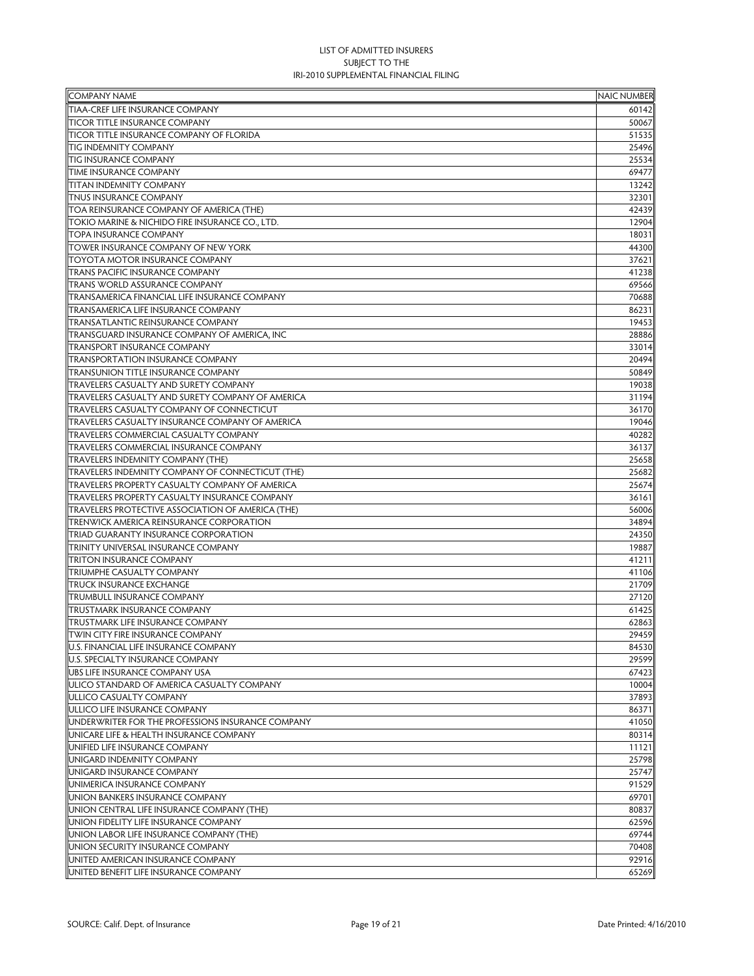| <b>COMPANY NAME</b>                                                           | <b>NAIC NUMBER</b> |
|-------------------------------------------------------------------------------|--------------------|
| TIAA-CREF LIFE INSURANCE COMPANY                                              | 60142              |
| <b>TICOR TITLE INSURANCE COMPANY</b>                                          | 50067              |
| <b>TICOR TITLE INSURANCE COMPANY OF FLORIDA</b>                               | 51535              |
| <b>TIG INDEMNITY COMPANY</b>                                                  | 25496              |
| <b>TIG INSURANCE COMPANY</b>                                                  | 25534              |
| <b>TIME INSURANCE COMPANY</b>                                                 | 69477              |
| <b>TITAN INDEMNITY COMPANY</b>                                                | 13242              |
| <b>TNUS INSURANCE COMPANY</b>                                                 | 32301              |
| TOA REINSURANCE COMPANY OF AMERICA (THE)                                      | 42439              |
| TOKIO MARINE & NICHIDO FIRE INSURANCE CO., LTD.                               | 12904              |
| <b>TOPA INSURANCE COMPANY</b>                                                 | 18031              |
| TOWER INSURANCE COMPANY OF NEW YORK                                           | 44300              |
| ITOYOTA MOTOR INSURANCE COMPANY                                               | 37621              |
| <b>TRANS PACIFIC INSURANCE COMPANY</b>                                        | 41238              |
| <b>TRANS WORLD ASSURANCE COMPANY</b>                                          | 69566              |
| TRANSAMERICA FINANCIAL LIFE INSURANCE COMPANY                                 | 70688              |
| TRANSAMERICA LIFE INSURANCE COMPANY                                           | 86231              |
| <b>TRANSATLANTIC REINSURANCE COMPANY</b>                                      | 19453              |
| TRANSGUARD INSURANCE COMPANY OF AMERICA, INC                                  | 28886              |
| <b>TRANSPORT INSURANCE COMPANY</b>                                            | 33014              |
| <b>TRANSPORTATION INSURANCE COMPANY</b>                                       | 20494              |
| <b>TRANSUNION TITLE INSURANCE COMPANY</b>                                     | 50849              |
| TRAVELERS CASUALTY AND SURETY COMPANY                                         | 19038              |
| TRAVELERS CASUALTY AND SURETY COMPANY OF AMERICA                              | 31194              |
| <b>TRAVELERS CASUALTY COMPANY OF CONNECTICUT</b>                              | 36170              |
| TRAVELERS CASUALTY INSURANCE COMPANY OF AMERICA                               | 19046              |
| <b>TRAVELERS COMMERCIAL CASUALTY COMPANY</b>                                  | 40282              |
| <b>TRAVELERS COMMERCIAL INSURANCE COMPANY</b>                                 | 36137              |
| <b>TRAVELERS INDEMNITY COMPANY (THE)</b>                                      | 25658              |
| <b>TRAVELERS INDEMNITY COMPANY OF CONNECTICUT (THE)</b>                       | 25682              |
| TRAVELERS PROPERTY CASUALTY COMPANY OF AMERICA                                | 25674              |
| <b>TRAVELERS PROPERTY CASUALTY INSURANCE COMPANY</b>                          | 36161              |
| <b>TRAVELERS PROTECTIVE ASSOCIATION OF AMERICA (THE)</b>                      | 56006              |
| <b>TRENWICK AMERICA REINSURANCE CORPORATION</b>                               | 34894              |
| TRIAD GUARANTY INSURANCE CORPORATION                                          | 24350              |
| TRINITY UNIVERSAL INSURANCE COMPANY                                           | 19887              |
| <b>TRITON INSURANCE COMPANY</b>                                               | 41211              |
| <b>TRIUMPHE CASUALTY COMPANY</b>                                              | 41106              |
| <b>TRUCK INSURANCE EXCHANGE</b>                                               | 21709              |
| <b>TRUMBULL INSURANCE COMPANY</b>                                             | 27120              |
| <b>TRUSTMARK INSURANCE COMPANY</b>                                            | 61425              |
| TRUSTMARK LIFE INSURANCE COMPANY                                              | 62863              |
| <b>TWIN CITY FIRE INSURANCE COMPANY</b>                                       | 29459              |
| U.S. FINANCIAL LIFE INSURANCE COMPANY                                         | 84530              |
| U.S. SPECIALTY INSURANCE COMPANY                                              | 29599              |
| UBS LIFE INSURANCE COMPANY USA                                                | 67423              |
| ULICO STANDARD OF AMERICA CASUALTY COMPANY                                    | 10004              |
| ULLICO CASUALTY COMPANY                                                       | 37893              |
| ULLICO LIFE INSURANCE COMPANY                                                 | 86371              |
| UNDERWRITER FOR THE PROFESSIONS INSURANCE COMPANY                             | 41050              |
| UNICARE LIFE & HEALTH INSURANCE COMPANY                                       | 80314              |
| UNIFIED LIFE INSURANCE COMPANY                                                | 11121              |
| <b>UNIGARD INDEMNITY COMPANY</b>                                              | 25798              |
| UNIGARD INSURANCE COMPANY                                                     | 25747              |
| UNIMERICA INSURANCE COMPANY                                                   | 91529              |
|                                                                               | 69701              |
| UNION BANKERS INSURANCE COMPANY<br>UNION CENTRAL LIFE INSURANCE COMPANY (THE) |                    |
|                                                                               | 80837              |
| UNION FIDELITY LIFE INSURANCE COMPANY                                         | 62596              |
| UNION LABOR LIFE INSURANCE COMPANY (THE)<br>UNION SECURITY INSURANCE COMPANY  | 69744              |
|                                                                               | 70408              |
| UNITED AMERICAN INSURANCE COMPANY                                             | 92916              |
| UNITED BENEFIT LIFE INSURANCE COMPANY                                         | 65269              |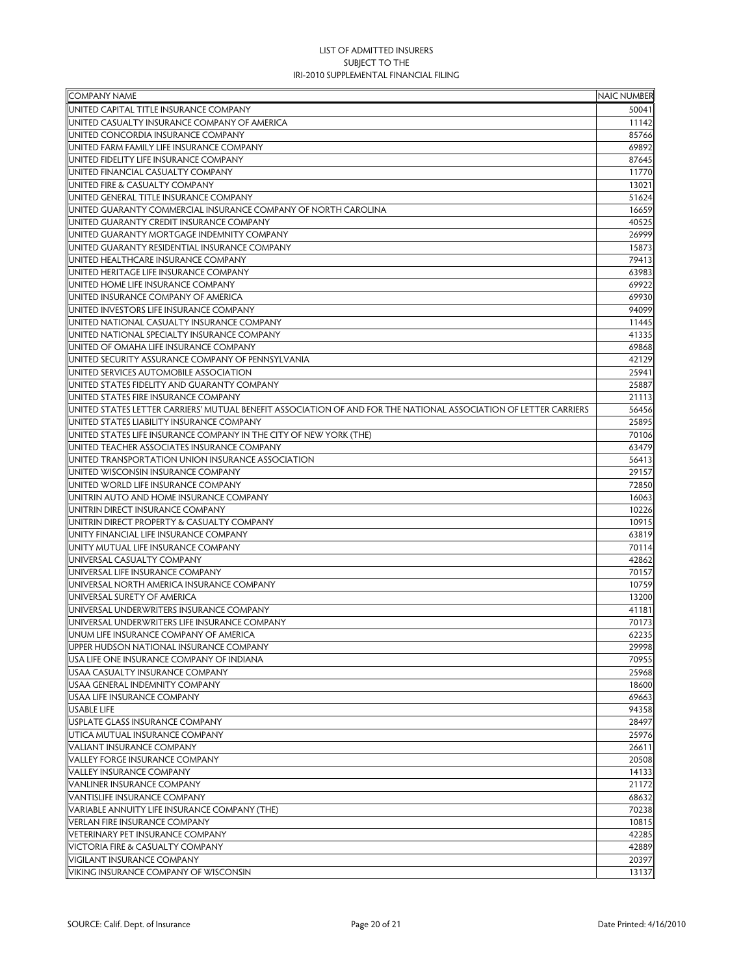| <b>COMPANY NAME</b>                                                                                              | <b>NAIC NUMBER</b> |
|------------------------------------------------------------------------------------------------------------------|--------------------|
| UNITED CAPITAL TITLE INSURANCE COMPANY                                                                           | 50041              |
| UNITED CASUALTY INSURANCE COMPANY OF AMERICA                                                                     | 11142              |
| UNITED CONCORDIA INSURANCE COMPANY                                                                               | 85766              |
| UNITED FARM FAMILY LIFE INSURANCE COMPANY                                                                        | 69892              |
| UNITED FIDELITY LIFE INSURANCE COMPANY                                                                           | 87645              |
| UNITED FINANCIAL CASUALTY COMPANY                                                                                | 11770              |
| UNITED FIRE & CASUALTY COMPANY                                                                                   | 13021              |
| UNITED GENERAL TITLE INSURANCE COMPANY                                                                           | 51624              |
| UNITED GUARANTY COMMERCIAL INSURANCE COMPANY OF NORTH CAROLINA                                                   | 16659              |
| UNITED GUARANTY CREDIT INSURANCE COMPANY                                                                         | 40525              |
| UNITED GUARANTY MORTGAGE INDEMNITY COMPANY                                                                       | 26999              |
| UNITED GUARANTY RESIDENTIAL INSURANCE COMPANY                                                                    | 15873              |
| UNITED HEALTHCARE INSURANCE COMPANY                                                                              | 79413              |
| UNITED HERITAGE LIFE INSURANCE COMPANY                                                                           | 63983              |
| UNITED HOME LIFE INSURANCE COMPANY                                                                               | 69922              |
| UNITED INSURANCE COMPANY OF AMERICA                                                                              | 69930              |
| UNITED INVESTORS LIFE INSURANCE COMPANY                                                                          | 94099              |
| UNITED NATIONAL CASUALTY INSURANCE COMPANY                                                                       | 11445              |
| UNITED NATIONAL SPECIALTY INSURANCE COMPANY                                                                      | 41335              |
| UNITED OF OMAHA LIFE INSURANCE COMPANY                                                                           | 69868              |
| UNITED SECURITY ASSURANCE COMPANY OF PENNSYLVANIA                                                                | 42129              |
| UNITED SERVICES AUTOMOBILE ASSOCIATION                                                                           | 25941              |
| UNITED STATES FIDELITY AND GUARANTY COMPANY                                                                      | 25887              |
| UNITED STATES FIRE INSURANCE COMPANY                                                                             | 21113              |
| UNITED STATES LETTER CARRIERS' MUTUAL BENEFIT ASSOCIATION OF AND FOR THE NATIONAL ASSOCIATION OF LETTER CARRIERS | 56456              |
| UNITED STATES LIABILITY INSURANCE COMPANY                                                                        | 25895              |
| UNITED STATES LIFE INSURANCE COMPANY IN THE CITY OF NEW YORK (THE)                                               | 70106              |
| UNITED TEACHER ASSOCIATES INSURANCE COMPANY                                                                      | 63479              |
| UNITED TRANSPORTATION UNION INSURANCE ASSOCIATION                                                                | 56413              |
| UNITED WISCONSIN INSURANCE COMPANY                                                                               | 29157              |
| UNITED WORLD LIFE INSURANCE COMPANY                                                                              | 72850              |
| UNITRIN AUTO AND HOME INSURANCE COMPANY                                                                          | 16063              |
| UNITRIN DIRECT INSURANCE COMPANY                                                                                 | 10226              |
| UNITRIN DIRECT PROPERTY & CASUALTY COMPANY                                                                       | 10915              |
| UNITY FINANCIAL LIFE INSURANCE COMPANY                                                                           | 63819              |
| UNITY MUTUAL LIFE INSURANCE COMPANY                                                                              | 70114              |
| UNIVERSAL CASUALTY COMPANY                                                                                       | 42862              |
| UNIVERSAL LIFE INSURANCE COMPANY                                                                                 | 70157              |
| UNIVERSAL NORTH AMERICA INSURANCE COMPANY                                                                        | 10759              |
| UNIVERSAL SURETY OF AMERICA                                                                                      | 13200              |
| UNIVERSAL UNDERWRITERS INSURANCE COMPANY                                                                         | 41181              |
| UNIVERSAL UNDERWRITERS LIFE INSURANCE COMPANY                                                                    | 70173              |
| UNUM LIFE INSURANCE COMPANY OF AMERICA                                                                           | 62235              |
| UPPER HUDSON NATIONAL INSURANCE COMPANY                                                                          | 29998              |
| USA LIFE ONE INSURANCE COMPANY OF INDIANA                                                                        | 70955              |
| USAA CASUALTY INSURANCE COMPANY                                                                                  | 25968              |
| USAA GENERAL INDEMNITY COMPANY                                                                                   | 18600              |
| USAA LIFE INSURANCE COMPANY                                                                                      | 69663              |
| <b>USABLE LIFE</b>                                                                                               | 94358              |
| USPLATE GLASS INSURANCE COMPANY                                                                                  | 28497              |
| UTICA MUTUAL INSURANCE COMPANY                                                                                   | 25976              |
| <b>VALIANT INSURANCE COMPANY</b>                                                                                 | 26611              |
| VALLEY FORGE INSURANCE COMPANY                                                                                   | 20508              |
| <b>VALLEY INSURANCE COMPANY</b>                                                                                  | 14133              |
| <b>VANLINER INSURANCE COMPANY</b>                                                                                | 21172              |
| <b>VANTISLIFE INSURANCE COMPANY</b>                                                                              | 68632              |
| VARIABLE ANNUITY LIFE INSURANCE COMPANY (THE)                                                                    | 70238              |
| <b>VERLAN FIRE INSURANCE COMPANY</b>                                                                             | 10815              |
| VETERINARY PET INSURANCE COMPANY                                                                                 | 42285              |
| VICTORIA FIRE & CASUALTY COMPANY                                                                                 | 42889              |
| VIGILANT INSURANCE COMPANY                                                                                       | 20397              |
| VIKING INSURANCE COMPANY OF WISCONSIN                                                                            | 13137              |
|                                                                                                                  |                    |